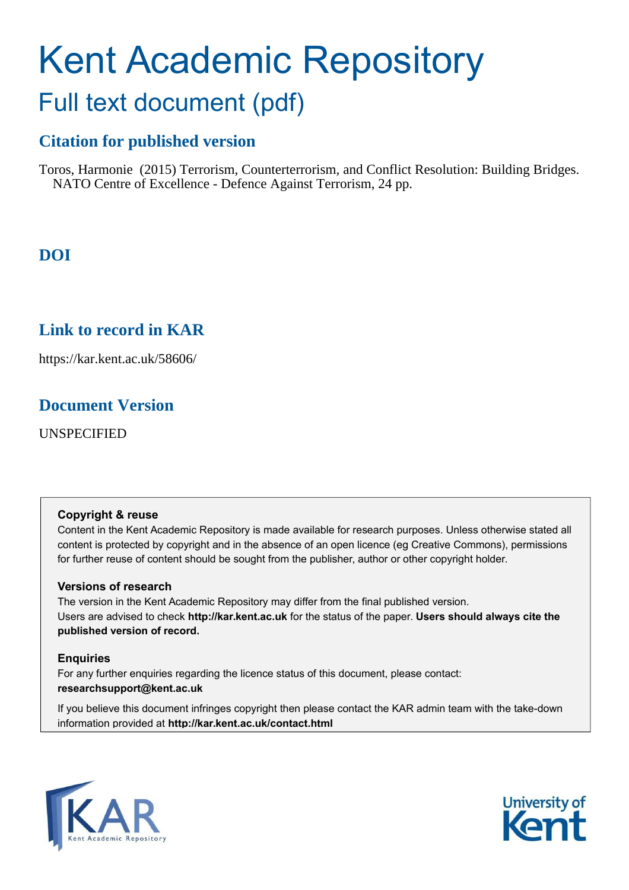## Kent Academic Repository Full text document (pdf)

## **Citation for published version**

Toros, Harmonie (2015) Terrorism, Counterterrorism, and Conflict Resolution: Building Bridges. NATO Centre of Excellence - Defence Against Terrorism, 24 pp.

## **DOI**

## **Link to record in KAR**

https://kar.kent.ac.uk/58606/

## **Document Version**

UNSPECIFIED

#### **Copyright & reuse**

Content in the Kent Academic Repository is made available for research purposes. Unless otherwise stated all content is protected by copyright and in the absence of an open licence (eg Creative Commons), permissions for further reuse of content should be sought from the publisher, author or other copyright holder.

#### **Versions of research**

The version in the Kent Academic Repository may differ from the final published version. Users are advised to check **http://kar.kent.ac.uk** for the status of the paper. **Users should always cite the published version of record.**

#### **Enquiries**

For any further enquiries regarding the licence status of this document, please contact: **researchsupport@kent.ac.uk**

If you believe this document infringes copyright then please contact the KAR admin team with the take-down information provided at **http://kar.kent.ac.uk/contact.html**



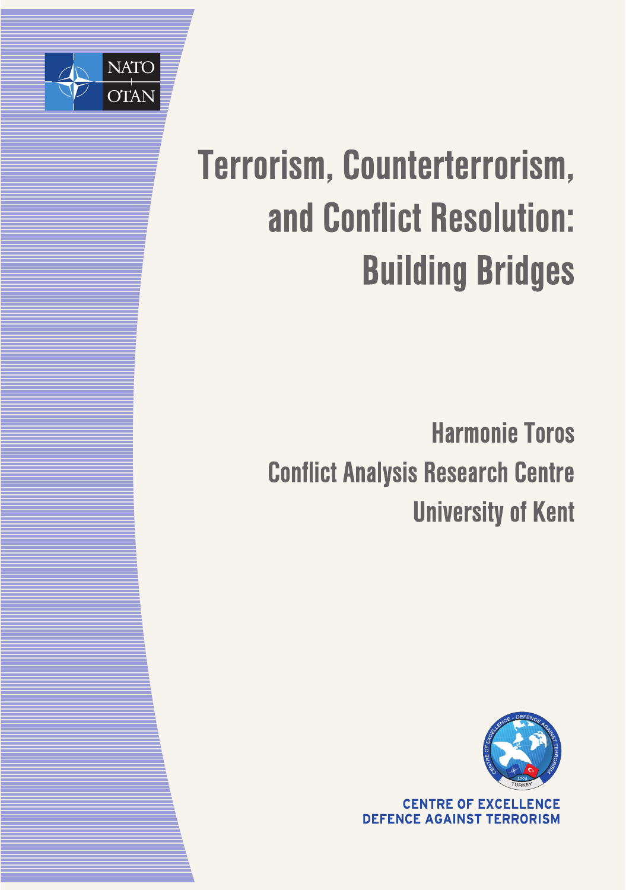

# Terrorism, Counterterrorism, and Conflict Resolution: **Building Bridges**

**Harmonie Toros Conflict Analysis Research Centre University of Kent** 



**CENTRE OF EXCELLENCE DEFENCE AGAINST TERRORISM**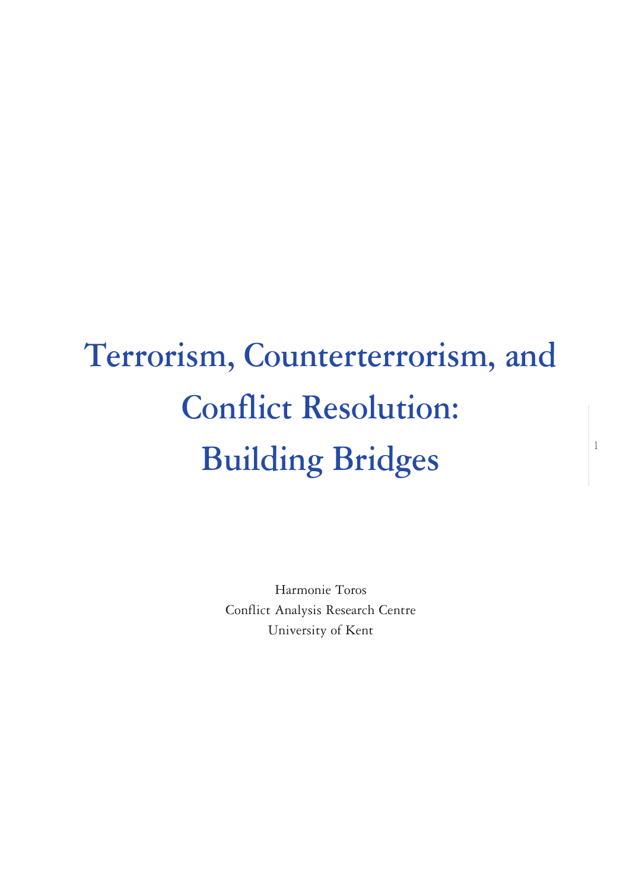## Terrorism, Counterterrorism, and Conflict Resolution: Building Bridges

1

Harmonie Toros Conflict Analysis Research Centre University of Kent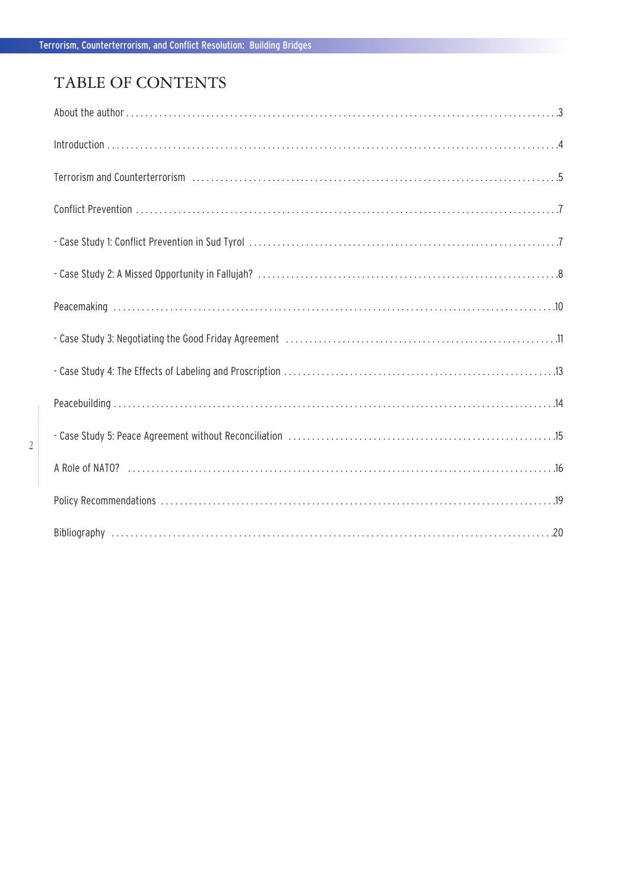## TABLE OF CONTENTS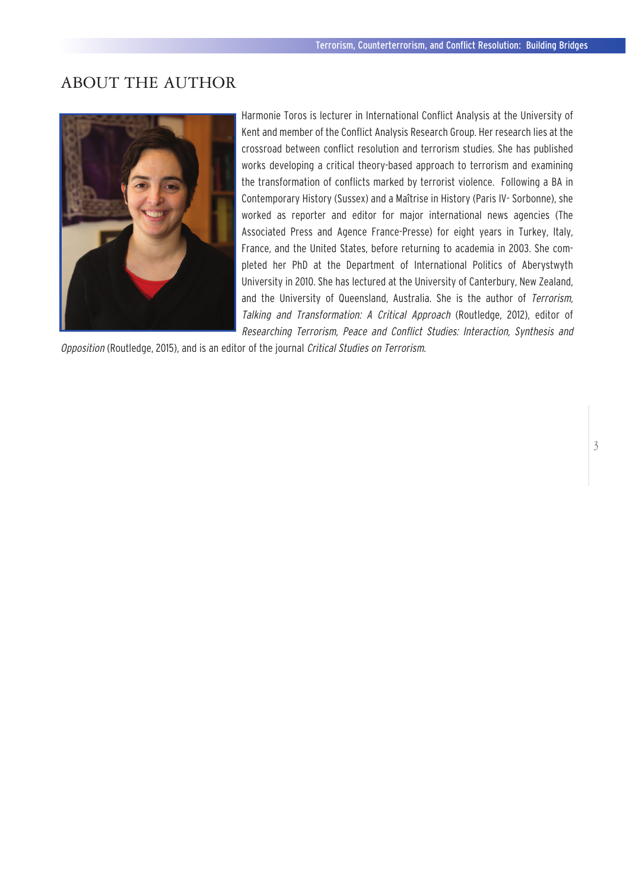## ABOUT THE AUTHOR



Harmonie Toros is lecturer in International Conflict Analysis at the University of Kent and member of the Conflict Analysis Research Group. Her research lies at the crossroad between conflict resolution and terrorism studies. She has published works developing a critical theory-based approach to terrorism and examining the transformation of conflicts marked by terrorist violence. Following a BA in Contemporary History (Sussex) and a Maîtrise in History (Paris IV- Sorbonne), she worked as reporter and editor for major international news agencies (The Associated Press and Agence France-Presse) for eight years in Turkey, Italy, France, and the United States, before returning to academia in 2003. She completed her PhD at the Department of International Politics of Aberystwyth University in 2010. She has lectured at the University of Canterbury, New Zealand, and the University of Queensland, Australia. She is the author of Terrorism, Talking and Transformation: A Critical Approach (Routledge, 2012), editor of Researching Terrorism, Peace and Conflict Studies: Interaction, Synthesis and

Opposition (Routledge, 2015), and is an editor of the journal Critical Studies on Terrorism.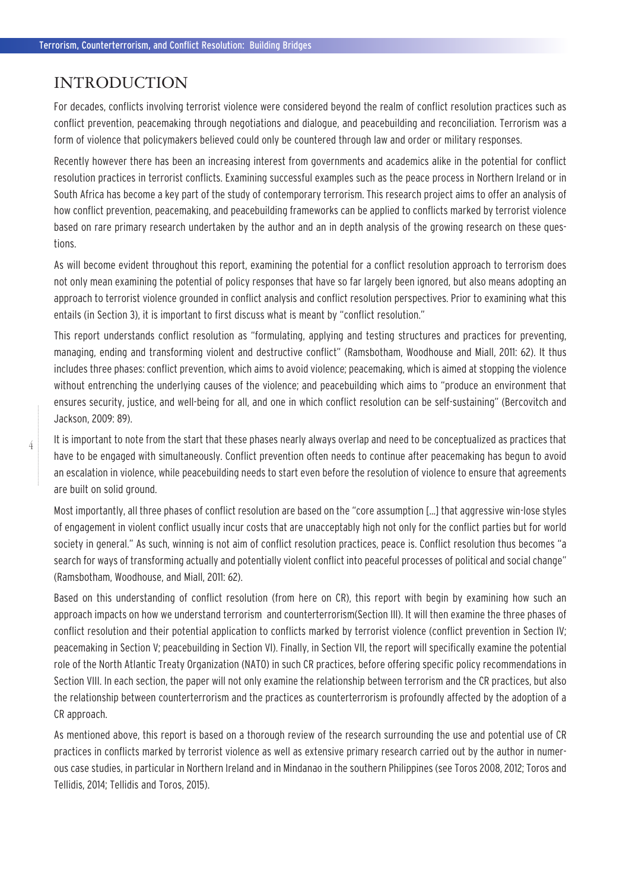### INTRODUCTION

For decades, conflicts involving terrorist violence were considered beyond the realm of conflict resolution practices such as conflict prevention, peacemaking through negotiations and dialogue, and peacebuilding and reconciliation. Terrorism was a form of violence that policymakers believed could only be countered through law and order or military responses.

Recently however there has been an increasing interest from governments and academics alike in the potential for conflict resolution practices in terrorist conflicts. Examining successful examples such as the peace process in Northern Ireland or in South Africa has become a key part of the study of contemporary terrorism. This research project aims to offer an analysis of how conflict prevention, peacemaking, and peacebuilding frameworks can be applied to conflicts marked by terrorist violence based on rare primary research undertaken by the author and an in depth analysis of the growing research on these questions.

As will become evident throughout this report, examining the potential for a conflict resolution approach to terrorism does not only mean examining the potential of policy responses that have so far largely been ignored, but also means adopting an approach to terrorist violence grounded in conflict analysis and conflict resolution perspectives. Prior to examining what this entails (in Section 3), it is important to first discuss what is meant by "conflict resolution."

This report understands conflict resolution as "formulating, applying and testing structures and practices for preventing, managing, ending and transforming violent and destructive conflict" (Ramsbotham, Woodhouse and Miall, 2011: 62). It thus includes three phases: conflict prevention, which aims to avoid violence; peacemaking, which is aimed at stopping the violence without entrenching the underlying causes of the violence; and peacebuilding which aims to "produce an environment that ensures security, justice, and well-being for all, and one in which conflict resolution can be self-sustaining" (Bercovitch and Jackson, 2009: 89).

It is important to note from the start that these phases nearly always overlap and need to be conceptualized as practices that have to be engaged with simultaneously. Conflict prevention often needs to continue after peacemaking has begun to avoid an escalation in violence, while peacebuilding needs to start even before the resolution of violence to ensure that agreements are built on solid ground.

Most importantly, all three phases of conflict resolution are based on the "core assumption […] that aggressive win-lose styles of engagement in violent conflict usually incur costs that are unacceptably high not only for the conflict parties but for world society in general." As such, winning is not aim of conflict resolution practices, peace is. Conflict resolution thus becomes "a search for ways of transforming actually and potentially violent conflict into peaceful processes of political and social change" (Ramsbotham, Woodhouse, and Miall, 2011: 62).

Based on this understanding of conflict resolution (from here on CR), this report with begin by examining how such an approach impacts on how we understand terrorism and counterterrorism(Section III). It will then examine the three phases of conflict resolution and their potential application to conflicts marked by terrorist violence (conflict prevention in Section IV; peacemaking in Section V; peacebuilding in Section VI). Finally, in Section VII, the report will specifically examine the potential role of the North Atlantic Treaty Organization (NATO) in such CR practices, before offering specific policy recommendations in Section VIII. In each section, the paper will not only examine the relationship between terrorism and the CR practices, but also the relationship between counterterrorism and the practices as counterterrorism is profoundly affected by the adoption of a CR approach.

As mentioned above, this report is based on a thorough review of the research surrounding the use and potential use of CR practices in conflicts marked by terrorist violence as well as extensive primary research carried out by the author in numerous case studies, in particular in Northern Ireland and in Mindanao in the southern Philippines (see Toros 2008, 2012; Toros and Tellidis, 2014; Tellidis and Toros, 2015).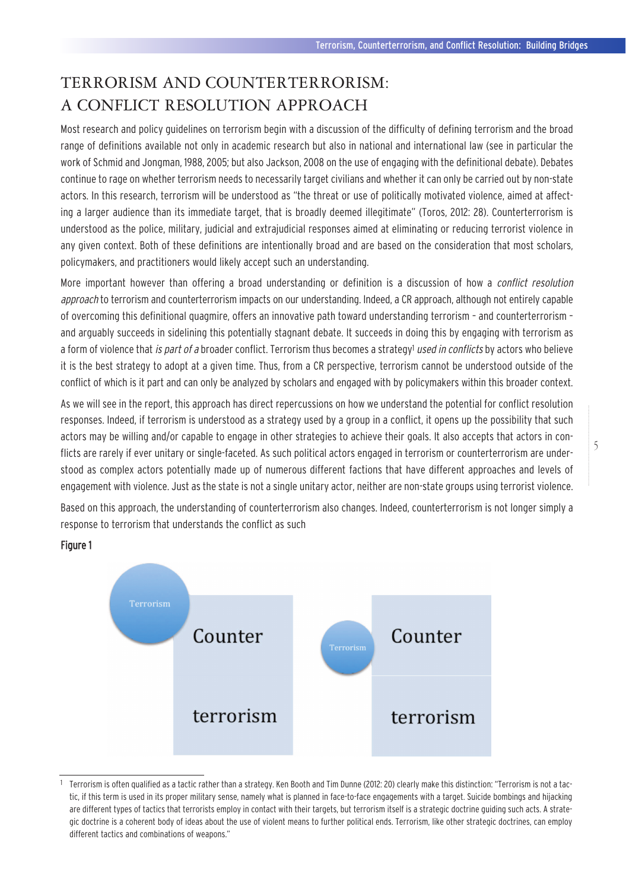## TERRORISM AND COUNTERTERRORISM: A CONFLICT RESOLUTION APPROACH

Most research and policy guidelines on terrorism begin with a discussion of the difficulty of defining terrorism and the broad range of definitions available not only in academic research but also in national and international law (see in particular the work of Schmid and Jongman, 1988, 2005; but also Jackson, 2008 on the use of engaging with the definitional debate). Debates continue to rage on whether terrorism needs to necessarily target civilians and whether it can only be carried out by non-state actors. In this research, terrorism will be understood as "the threat or use of politically motivated violence, aimed at affecting a larger audience than its immediate target, that is broadly deemed illegitimate" (Toros, 2012: 28). Counterterrorism is understood as the police, military, judicial and extrajudicial responses aimed at eliminating or reducing terrorist violence in any given context. Both of these definitions are intentionally broad and are based on the consideration that most scholars, policymakers, and practitioners would likely accept such an understanding.

More important however than offering a broad understanding or definition is a discussion of how a *conflict resolution* approach to terrorism and counterterrorism impacts on our understanding. Indeed, a CR approach, although not entirely capable of overcoming this definitional quagmire, offers an innovative path toward understanding terrorism – and counterterrorism – and arguably succeeds in sidelining this potentially stagnant debate. It succeeds in doing this by engaging with terrorism as a form of violence that *is part of a* broader conflict. Terrorism thus becomes a strategy<sup>1</sup> used in conflicts by actors who believe it is the best strategy to adopt at a given time. Thus, from a CR perspective, terrorism cannot be understood outside of the conflict of which is it part and can only be analyzed by scholars and engaged with by policymakers within this broader context.

As we will see in the report, this approach has direct repercussions on how we understand the potential for conflict resolution responses. Indeed, if terrorism is understood as a strategy used by a group in a conflict, it opens up the possibility that such actors may be willing and/or capable to engage in other strategies to achieve their goals. It also accepts that actors in conflicts are rarely if ever unitary or single-faceted. As such political actors engaged in terrorism or counterterrorism are understood as complex actors potentially made up of numerous different factions that have different approaches and levels of engagement with violence. Just as the state is not a single unitary actor, neither are non-state groups using terrorist violence.

Based on this approach, the understanding of counterterrorism also changes. Indeed, counterterrorism is not longer simply a response to terrorism that understands the conflict as such



#### Figure 1

<sup>1</sup> Terrorism is often qualified as a tactic rather than a strategy. Ken Booth and Tim Dunne (2012: 20) clearly make this distinction: "Terrorism is not a tactic, if this term is used in its proper military sense, namely what is planned in face-to-face engagements with a target. Suicide bombings and hijacking are different types of tactics that terrorists employ in contact with their targets, but terrorism itself is a strategic doctrine guiding such acts. A strategic doctrine is a coherent body of ideas about the use of violent means to further political ends. Terrorism, like other strategic doctrines, can employ different tactics and combinations of weapons."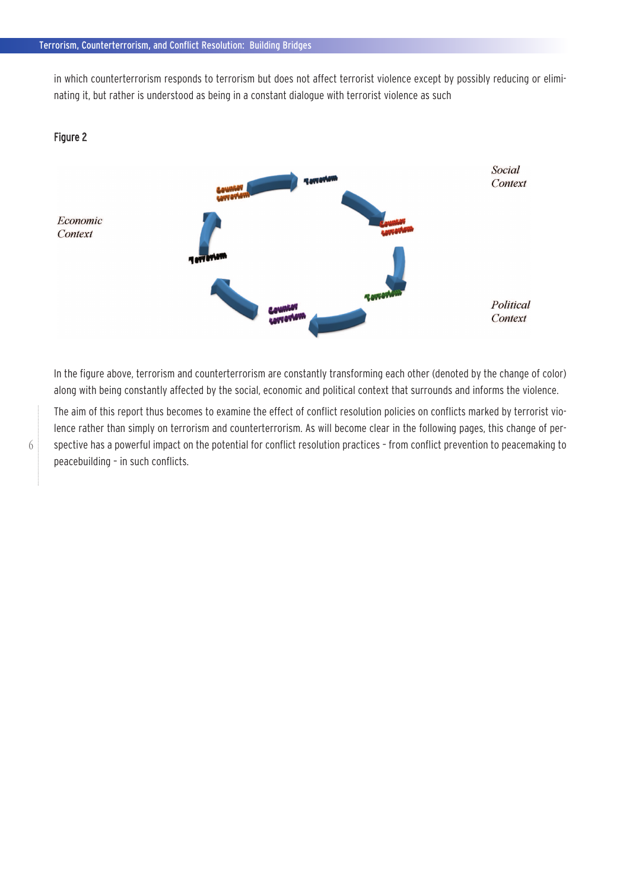in which counterterrorism responds to terrorism but does not affect terrorist violence except by possibly reducing or eliminating it, but rather is understood as being in a constant dialogue with terrorist violence as such



Figure 2

In the figure above, terrorism and counterterrorism are constantly transforming each other (denoted by the change of color) along with being constantly affected by the social, economic and political context that surrounds and informs the violence.

The aim of this report thus becomes to examine the effect of conflict resolution policies on conflicts marked by terrorist violence rather than simply on terrorism and counterterrorism. As will become clear in the following pages, this change of perspective has a powerful impact on the potential for conflict resolution practices – from conflict prevention to peacemaking to peacebuilding – in such conflicts.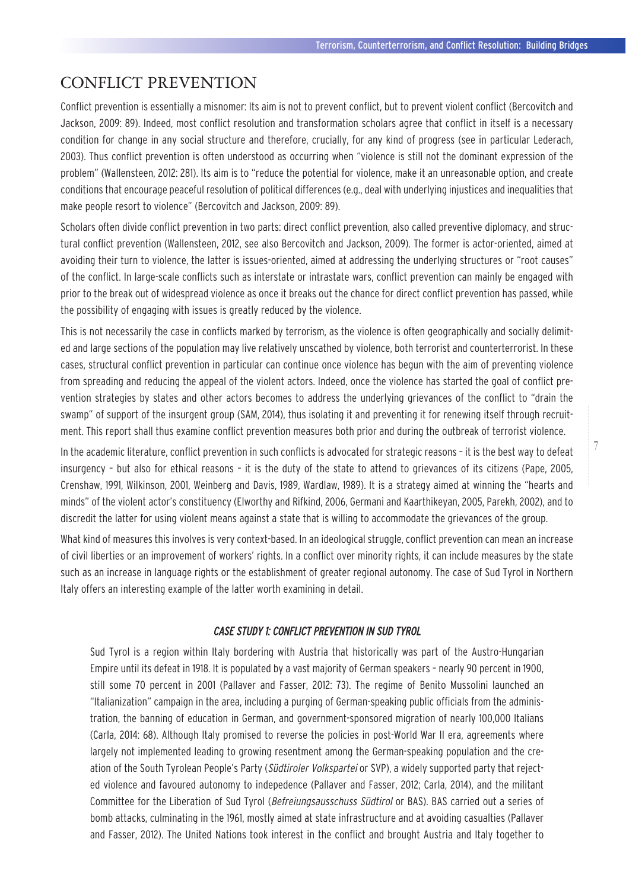## CONFLICT PREVENTION

Conflict prevention is essentially a misnomer: Its aim is not to prevent conflict, but to prevent violent conflict (Bercovitch and Jackson, 2009: 89). Indeed, most conflict resolution and transformation scholars agree that conflict in itself is a necessary condition for change in any social structure and therefore, crucially, for any kind of progress (see in particular Lederach, 2003). Thus conflict prevention is often understood as occurring when "violence is still not the dominant expression of the problem" (Wallensteen, 2012: 281). Its aim is to "reduce the potential for violence, make it an unreasonable option, and create conditions that encourage peaceful resolution of political differences (e.g., deal with underlying injustices and inequalities that make people resort to violence" (Bercovitch and Jackson, 2009: 89).

Scholars often divide conflict prevention in two parts: direct conflict prevention, also called preventive diplomacy, and structural conflict prevention (Wallensteen, 2012, see also Bercovitch and Jackson, 2009). The former is actor-oriented, aimed at avoiding their turn to violence, the latter is issues-oriented, aimed at addressing the underlying structures or "root causes" of the conflict. In large-scale conflicts such as interstate or intrastate wars, conflict prevention can mainly be engaged with prior to the break out of widespread violence as once it breaks out the chance for direct conflict prevention has passed, while the possibility of engaging with issues is greatly reduced by the violence.

This is not necessarily the case in conflicts marked by terrorism, as the violence is often geographically and socially delimited and large sections of the population may live relatively unscathed by violence, both terrorist and counterterrorist. In these cases, structural conflict prevention in particular can continue once violence has begun with the aim of preventing violence from spreading and reducing the appeal of the violent actors. Indeed, once the violence has started the goal of conflict prevention strategies by states and other actors becomes to address the underlying grievances of the conflict to "drain the swamp" of support of the insurgent group (SAM, 2014), thus isolating it and preventing it for renewing itself through recruitment. This report shall thus examine conflict prevention measures both prior and during the outbreak of terrorist violence.

In the academic literature, conflict prevention in such conflicts is advocated for strategic reasons – it is the best way to defeat insurgency – but also for ethical reasons – it is the duty of the state to attend to grievances of its citizens (Pape, 2005, Crenshaw, 1991, Wilkinson, 2001, Weinberg and Davis, 1989, Wardlaw, 1989). It is a strategy aimed at winning the "hearts and minds" of the violent actor's constituency (Elworthy and Rifkind, 2006, Germani and Kaarthikeyan, 2005, Parekh, 2002), and to discredit the latter for using violent means against a state that is willing to accommodate the grievances of the group.

What kind of measures this involves is very context-based. In an ideological struggle, conflict prevention can mean an increase of civil liberties or an improvement of workers' rights. In a conflict over minority rights, it can include measures by the state such as an increase in language rights or the establishment of greater regional autonomy. The case of Sud Tyrol in Northern Italy offers an interesting example of the latter worth examining in detail.

#### CASE STUDY 1: CONFLICT PREVENTION IN SUD TYROL

Sud Tyrol is a region within Italy bordering with Austria that historically was part of the Austro-Hungarian Empire until its defeat in 1918. It is populated by a vast majority of German speakers – nearly 90 percent in 1900, still some 70 percent in 2001 (Pallaver and Fasser, 2012: 73). The regime of Benito Mussolini launched an "Italianization" campaign in the area, including a purging of German-speaking public officials from the administration, the banning of education in German, and government-sponsored migration of nearly 100,000 Italians (Carla, 2014: 68). Although Italy promised to reverse the policies in post-World War II era, agreements where largely not implemented leading to growing resentment among the German-speaking population and the creation of the South Tyrolean People's Party (Südtiroler Volkspartei or SVP), a widely supported party that rejected violence and favoured autonomy to indepedence (Pallaver and Fasser, 2012; Carla, 2014), and the militant Committee for the Liberation of Sud Tyrol (Befreiungsausschuss Südtirol or BAS). BAS carried out a series of bomb attacks, culminating in the 1961, mostly aimed at state infrastructure and at avoiding casualties (Pallaver and Fasser, 2012). The United Nations took interest in the conflict and brought Austria and Italy together to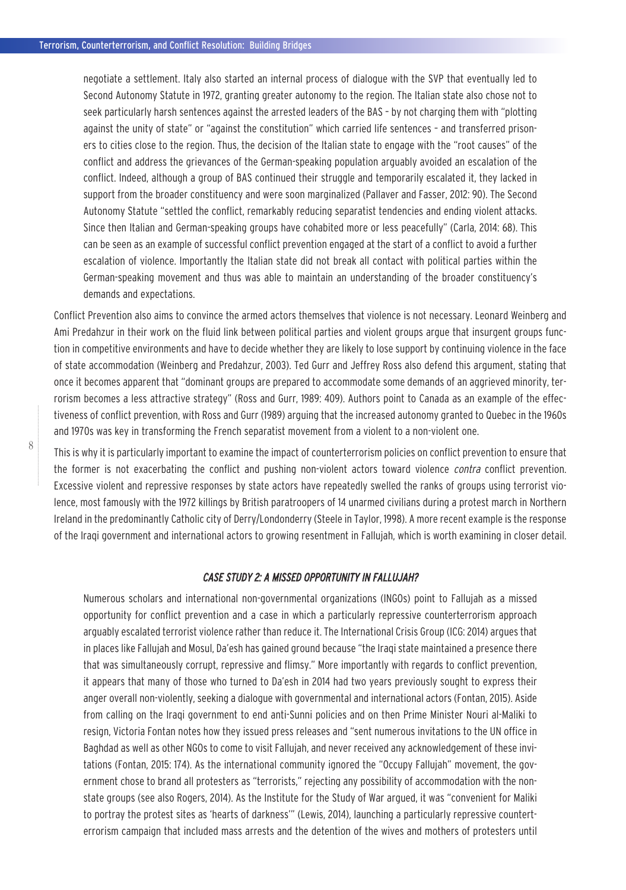negotiate a settlement. Italy also started an internal process of dialogue with the SVP that eventually led to Second Autonomy Statute in 1972, granting greater autonomy to the region. The Italian state also chose not to seek particularly harsh sentences against the arrested leaders of the BAS – by not charging them with "plotting against the unity of state" or "against the constitution" which carried life sentences – and transferred prisoners to cities close to the region. Thus, the decision of the Italian state to engage with the "root causes" of the conflict and address the grievances of the German-speaking population arguably avoided an escalation of the conflict. Indeed, although a group of BAS continued their struggle and temporarily escalated it, they lacked in support from the broader constituency and were soon marginalized (Pallaver and Fasser, 2012: 90). The Second Autonomy Statute "settled the conflict, remarkably reducing separatist tendencies and ending violent attacks. Since then Italian and German-speaking groups have cohabited more or less peacefully" (Carla, 2014: 68). This can be seen as an example of successful conflict prevention engaged at the start of a conflict to avoid a further escalation of violence. Importantly the Italian state did not break all contact with political parties within the German-speaking movement and thus was able to maintain an understanding of the broader constituency's demands and expectations.

Conflict Prevention also aims to convince the armed actors themselves that violence is not necessary. Leonard Weinberg and Ami Predahzur in their work on the fluid link between political parties and violent groups argue that insurgent groups function in competitive environments and have to decide whether they are likely to lose support by continuing violence in the face of state accommodation (Weinberg and Predahzur, 2003). Ted Gurr and Jeffrey Ross also defend this argument, stating that once it becomes apparent that "dominant groups are prepared to accommodate some demands of an aggrieved minority, terrorism becomes a less attractive strategy" (Ross and Gurr, 1989: 409). Authors point to Canada as an example of the effectiveness of conflict prevention, with Ross and Gurr (1989) arguing that the increased autonomy granted to Quebec in the 1960s and 1970s was key in transforming the French separatist movement from a violent to a non-violent one.

This is why it is particularly important to examine the impact of counterterrorism policies on conflict prevention to ensure that the former is not exacerbating the conflict and pushing non-violent actors toward violence *contra* conflict prevention. Excessive violent and repressive responses by state actors have repeatedly swelled the ranks of groups using terrorist violence, most famously with the 1972 killings by British paratroopers of 14 unarmed civilians during a protest march in Northern Ireland in the predominantly Catholic city of Derry/Londonderry (Steele in Taylor, 1998). A more recent example is the response of the Iraqi government and international actors to growing resentment in Fallujah, which is worth examining in closer detail.

#### CASE STUDY 2: A MISSED OPPORTUNITY IN FALLUJAH?

Numerous scholars and international non-governmental organizations (INGOs) point to Fallujah as a missed opportunity for conflict prevention and a case in which a particularly repressive counterterrorism approach arguably escalated terrorist violence rather than reduce it. The International Crisis Group (ICG: 2014) argues that in places like Fallujah and Mosul, Da'esh has gained ground because "the Iraqi state maintained a presence there that was simultaneously corrupt, repressive and flimsy." More importantly with regards to conflict prevention, it appears that many of those who turned to Da'esh in 2014 had two years previously sought to express their anger overall non-violently, seeking a dialogue with governmental and international actors (Fontan, 2015). Aside from calling on the Iraqi government to end anti-Sunni policies and on then Prime Minister Nouri al-Maliki to resign, Victoria Fontan notes how they issued press releases and "sent numerous invitations to the UN office in Baghdad as well as other NGOs to come to visit Fallujah, and never received any acknowledgement of these invitations (Fontan, 2015: 174). As the international community ignored the "Occupy Fallujah" movement, the government chose to brand all protesters as "terrorists," rejecting any possibility of accommodation with the nonstate groups (see also Rogers, 2014). As the Institute for the Study of War argued, it was "convenient for Maliki to portray the protest sites as 'hearts of darkness'" (Lewis, 2014), launching a particularly repressive counterterrorism campaign that included mass arrests and the detention of the wives and mothers of protesters until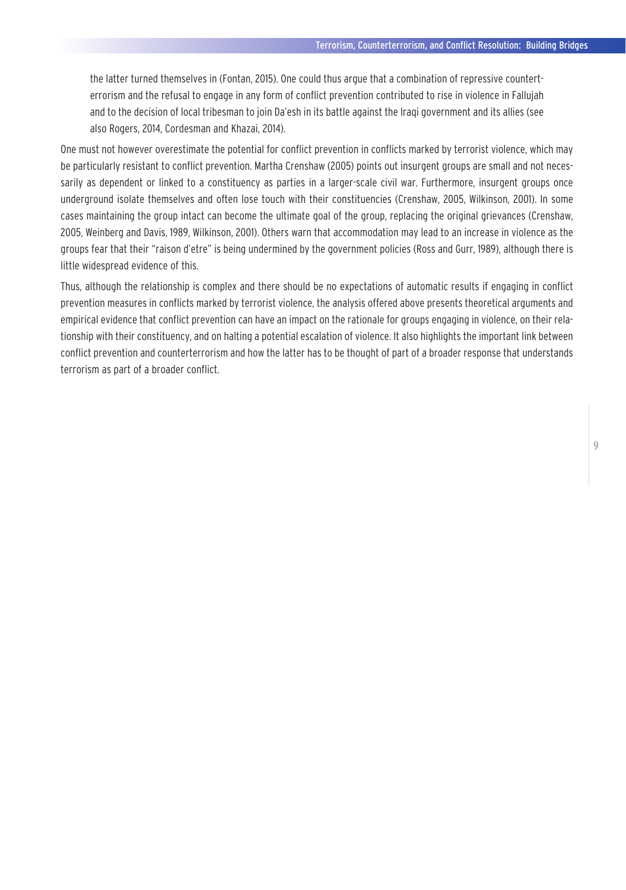the latter turned themselves in (Fontan, 2015). One could thus argue that a combination of repressive counterterrorism and the refusal to engage in any form of conflict prevention contributed to rise in violence in Fallujah and to the decision of local tribesman to join Da'esh in its battle against the Iraqi government and its allies (see also Rogers, 2014, Cordesman and Khazai, 2014).

One must not however overestimate the potential for conflict prevention in conflicts marked by terrorist violence, which may be particularly resistant to conflict prevention. Martha Crenshaw (2005) points out insurgent groups are small and not necessarily as dependent or linked to a constituency as parties in a larger-scale civil war. Furthermore, insurgent groups once underground isolate themselves and often lose touch with their constituencies (Crenshaw, 2005, Wilkinson, 2001). In some cases maintaining the group intact can become the ultimate goal of the group, replacing the original grievances (Crenshaw, 2005, Weinberg and Davis, 1989, Wilkinson, 2001). Others warn that accommodation may lead to an increase in violence as the groups fear that their "raison d'etre" is being undermined by the government policies (Ross and Gurr, 1989), although there is little widespread evidence of this.

Thus, although the relationship is complex and there should be no expectations of automatic results if engaging in conflict prevention measures in conflicts marked by terrorist violence, the analysis offered above presents theoretical arguments and empirical evidence that conflict prevention can have an impact on the rationale for groups engaging in violence, on their relationship with their constituency, and on halting a potential escalation of violence. It also highlights the important link between conflict prevention and counterterrorism and how the latter has to be thought of part of a broader response that understands terrorism as part of a broader conflict.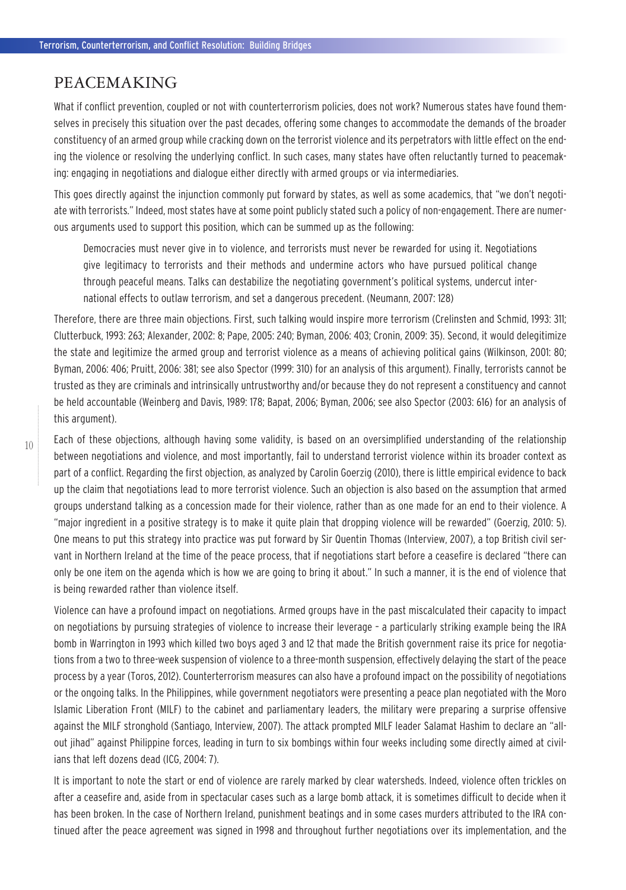#### PEACEMAKING

What if conflict prevention, coupled or not with counterterrorism policies, does not work? Numerous states have found themselves in precisely this situation over the past decades, offering some changes to accommodate the demands of the broader constituency of an armed group while cracking down on the terrorist violence and its perpetrators with little effect on the ending the violence or resolving the underlying conflict. In such cases, many states have often reluctantly turned to peacemaking: engaging in negotiations and dialogue either directly with armed groups or via intermediaries.

This goes directly against the injunction commonly put forward by states, as well as some academics, that "we don't negotiate with terrorists." Indeed, most states have at some point publicly stated such a policy of non-engagement. There are numerous arguments used to support this position, which can be summed up as the following:

Democracies must never give in to violence, and terrorists must never be rewarded for using it. Negotiations give legitimacy to terrorists and their methods and undermine actors who have pursued political change through peaceful means. Talks can destabilize the negotiating government's political systems, undercut international effects to outlaw terrorism, and set a dangerous precedent. (Neumann, 2007: 128)

Therefore, there are three main objections. First, such talking would inspire more terrorism (Crelinsten and Schmid, 1993: 311; Clutterbuck, 1993: 263; Alexander, 2002: 8; Pape, 2005: 240; Byman, 2006: 403; Cronin, 2009: 35). Second, it would delegitimize the state and legitimize the armed group and terrorist violence as a means of achieving political gains (Wilkinson, 2001: 80; Byman, 2006: 406; Pruitt, 2006: 381; see also Spector (1999: 310) for an analysis of this argument). Finally, terrorists cannot be trusted as they are criminals and intrinsically untrustworthy and/or because they do not represent a constituency and cannot be held accountable (Weinberg and Davis, 1989: 178; Bapat, 2006; Byman, 2006; see also Spector (2003: 616) for an analysis of this argument).

Each of these objections, although having some validity, is based on an oversimplified understanding of the relationship between negotiations and violence, and most importantly, fail to understand terrorist violence within its broader context as part of a conflict. Regarding the first objection, as analyzed by Carolin Goerzig (2010), there is little empirical evidence to back up the claim that negotiations lead to more terrorist violence. Such an objection is also based on the assumption that armed groups understand talking as a concession made for their violence, rather than as one made for an end to their violence. A "major ingredient in a positive strategy is to make it quite plain that dropping violence will be rewarded" (Goerzig, 2010: 5). One means to put this strategy into practice was put forward by Sir Quentin Thomas (Interview, 2007), a top British civil servant in Northern Ireland at the time of the peace process, that if negotiations start before a ceasefire is declared "there can only be one item on the agenda which is how we are going to bring it about." In such a manner, it is the end of violence that is being rewarded rather than violence itself.

Violence can have a profound impact on negotiations. Armed groups have in the past miscalculated their capacity to impact on negotiations by pursuing strategies of violence to increase their leverage – a particularly striking example being the IRA bomb in Warrington in 1993 which killed two boys aged 3 and 12 that made the British government raise its price for negotiations from a two to three-week suspension of violence to a three-month suspension, effectively delaying the start of the peace process by a year (Toros, 2012). Counterterrorism measures can also have a profound impact on the possibility of negotiations or the ongoing talks. In the Philippines, while government negotiators were presenting a peace plan negotiated with the Moro Islamic Liberation Front (MILF) to the cabinet and parliamentary leaders, the military were preparing a surprise offensive against the MILF stronghold (Santiago, Interview, 2007). The attack prompted MILF leader Salamat Hashim to declare an "allout jihad" against Philippine forces, leading in turn to six bombings within four weeks including some directly aimed at civilians that left dozens dead (ICG, 2004: 7).

It is important to note the start or end of violence are rarely marked by clear watersheds. Indeed, violence often trickles on after a ceasefire and, aside from in spectacular cases such as a large bomb attack, it is sometimes difficult to decide when it has been broken. In the case of Northern Ireland, punishment beatings and in some cases murders attributed to the IRA continued after the peace agreement was signed in 1998 and throughout further negotiations over its implementation, and the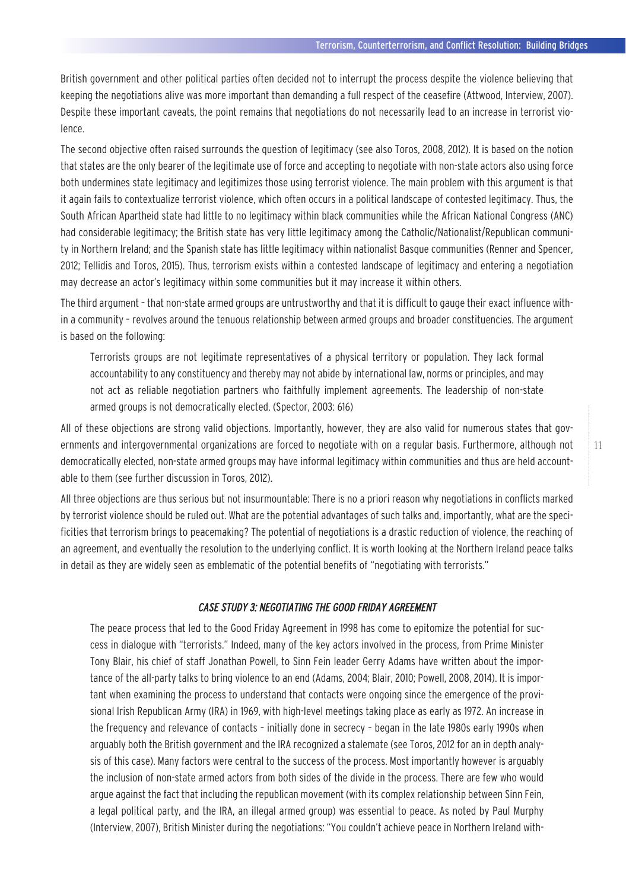British government and other political parties often decided not to interrupt the process despite the violence believing that keeping the negotiations alive was more important than demanding a full respect of the ceasefire (Attwood, Interview, 2007). Despite these important caveats, the point remains that negotiations do not necessarily lead to an increase in terrorist violence.

The second objective often raised surrounds the question of legitimacy (see also Toros, 2008, 2012). It is based on the notion that states are the only bearer of the legitimate use of force and accepting to negotiate with non-state actors also using force both undermines state legitimacy and legitimizes those using terrorist violence. The main problem with this argument is that it again fails to contextualize terrorist violence, which often occurs in a political landscape of contested legitimacy. Thus, the South African Apartheid state had little to no legitimacy within black communities while the African National Congress (ANC) had considerable legitimacy; the British state has very little legitimacy among the Catholic/Nationalist/Republican community in Northern Ireland; and the Spanish state has little legitimacy within nationalist Basque communities (Renner and Spencer, 2012; Tellidis and Toros, 2015). Thus, terrorism exists within a contested landscape of legitimacy and entering a negotiation may decrease an actor's legitimacy within some communities but it may increase it within others.

The third argument – that non-state armed groups are untrustworthy and that it is difficult to gauge their exact influence within a community – revolves around the tenuous relationship between armed groups and broader constituencies. The argument is based on the following:

Terrorists groups are not legitimate representatives of a physical territory or population. They lack formal accountability to any constituency and thereby may not abide by international law, norms or principles, and may not act as reliable negotiation partners who faithfully implement agreements. The leadership of non-state armed groups is not democratically elected. (Spector, 2003: 616)

All of these objections are strong valid objections. Importantly, however, they are also valid for numerous states that governments and intergovernmental organizations are forced to negotiate with on a regular basis. Furthermore, although not democratically elected, non-state armed groups may have informal legitimacy within communities and thus are held accountable to them (see further discussion in Toros, 2012).

All three objections are thus serious but not insurmountable: There is no a priori reason why negotiations in conflicts marked by terrorist violence should be ruled out. What are the potential advantages of such talks and, importantly, what are the specificities that terrorism brings to peacemaking? The potential of negotiations is a drastic reduction of violence, the reaching of an agreement, and eventually the resolution to the underlying conflict. It is worth looking at the Northern Ireland peace talks in detail as they are widely seen as emblematic of the potential benefits of "negotiating with terrorists."

#### CASE STUDY 3: NEGOTIATING THE GOOD FRIDAY AGREEMENT

The peace process that led to the Good Friday Agreement in 1998 has come to epitomize the potential for success in dialogue with "terrorists." Indeed, many of the key actors involved in the process, from Prime Minister Tony Blair, his chief of staff Jonathan Powell, to Sinn Fein leader Gerry Adams have written about the importance of the all-party talks to bring violence to an end (Adams, 2004; Blair, 2010; Powell, 2008, 2014). It is important when examining the process to understand that contacts were ongoing since the emergence of the provisional Irish Republican Army (IRA) in 1969, with high-level meetings taking place as early as 1972. An increase in the frequency and relevance of contacts – initially done in secrecy – began in the late 1980s early 1990s when arguably both the British government and the IRA recognized a stalemate (see Toros, 2012 for an in depth analysis of this case). Many factors were central to the success of the process. Most importantly however is arguably the inclusion of non-state armed actors from both sides of the divide in the process. There are few who would argue against the fact that including the republican movement (with its complex relationship between Sinn Fein, a legal political party, and the IRA, an illegal armed group) was essential to peace. As noted by Paul Murphy (Interview, 2007), British Minister during the negotiations: "You couldn't achieve peace in Northern Ireland with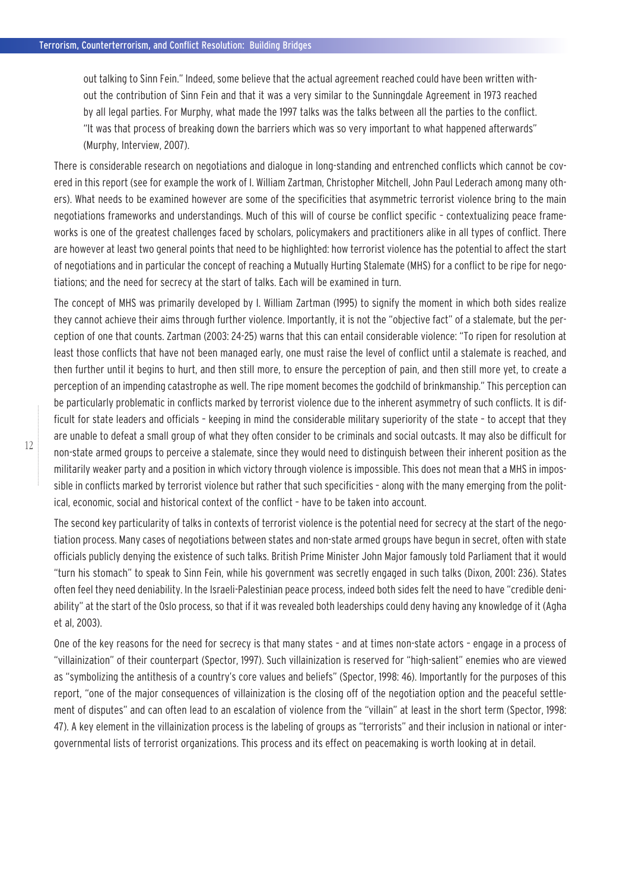out talking to Sinn Fein." Indeed, some believe that the actual agreement reached could have been written without the contribution of Sinn Fein and that it was a very similar to the Sunningdale Agreement in 1973 reached by all legal parties. For Murphy, what made the 1997 talks was the talks between all the parties to the conflict. "It was that process of breaking down the barriers which was so very important to what happened afterwards" (Murphy, Interview, 2007).

There is considerable research on negotiations and dialogue in long-standing and entrenched conflicts which cannot be covered in this report (see for example the work of I. William Zartman, Christopher Mitchell, John Paul Lederach among many others). What needs to be examined however are some of the specificities that asymmetric terrorist violence bring to the main negotiations frameworks and understandings. Much of this will of course be conflict specific – contextualizing peace frameworks is one of the greatest challenges faced by scholars, policymakers and practitioners alike in all types of conflict. There are however at least two general points that need to be highlighted: how terrorist violence has the potential to affect the start of negotiations and in particular the concept of reaching a Mutually Hurting Stalemate (MHS) for a conflict to be ripe for negotiations; and the need for secrecy at the start of talks. Each will be examined in turn.

The concept of MHS was primarily developed by I. William Zartman (1995) to signify the moment in which both sides realize they cannot achieve their aims through further violence. Importantly, it is not the "objective fact" of a stalemate, but the perception of one that counts. Zartman (2003: 24-25) warns that this can entail considerable violence: "To ripen for resolution at least those conflicts that have not been managed early, one must raise the level of conflict until a stalemate is reached, and then further until it begins to hurt, and then still more, to ensure the perception of pain, and then still more yet, to create a perception of an impending catastrophe as well. The ripe moment becomes the godchild of brinkmanship." This perception can be particularly problematic in conflicts marked by terrorist violence due to the inherent asymmetry of such conflicts. It is difficult for state leaders and officials – keeping in mind the considerable military superiority of the state – to accept that they are unable to defeat a small group of what they often consider to be criminals and social outcasts. It may also be difficult for non-state armed groups to perceive a stalemate, since they would need to distinguish between their inherent position as the militarily weaker party and a position in which victory through violence is impossible. This does not mean that a MHS in impossible in conflicts marked by terrorist violence but rather that such specificities – along with the many emerging from the political, economic, social and historical context of the conflict – have to be taken into account.

The second key particularity of talks in contexts of terrorist violence is the potential need for secrecy at the start of the negotiation process. Many cases of negotiations between states and non-state armed groups have begun in secret, often with state officials publicly denying the existence of such talks. British Prime Minister John Major famously told Parliament that it would "turn his stomach" to speak to Sinn Fein, while his government was secretly engaged in such talks (Dixon, 2001: 236). States often feel they need deniability. In the Israeli-Palestinian peace process, indeed both sides felt the need to have "credible deniability" at the start of the Oslo process, so that if it was revealed both leaderships could deny having any knowledge of it (Agha et al, 2003).

One of the key reasons for the need for secrecy is that many states – and at times non-state actors – engage in a process of "villainization" of their counterpart (Spector, 1997). Such villainization is reserved for "high-salient" enemies who are viewed as "symbolizing the antithesis of a country's core values and beliefs" (Spector, 1998: 46). Importantly for the purposes of this report, "one of the major consequences of villainization is the closing off of the negotiation option and the peaceful settlement of disputes" and can often lead to an escalation of violence from the "villain" at least in the short term (Spector, 1998: 47). A key element in the villainization process is the labeling of groups as "terrorists" and their inclusion in national or intergovernmental lists of terrorist organizations. This process and its effect on peacemaking is worth looking at in detail.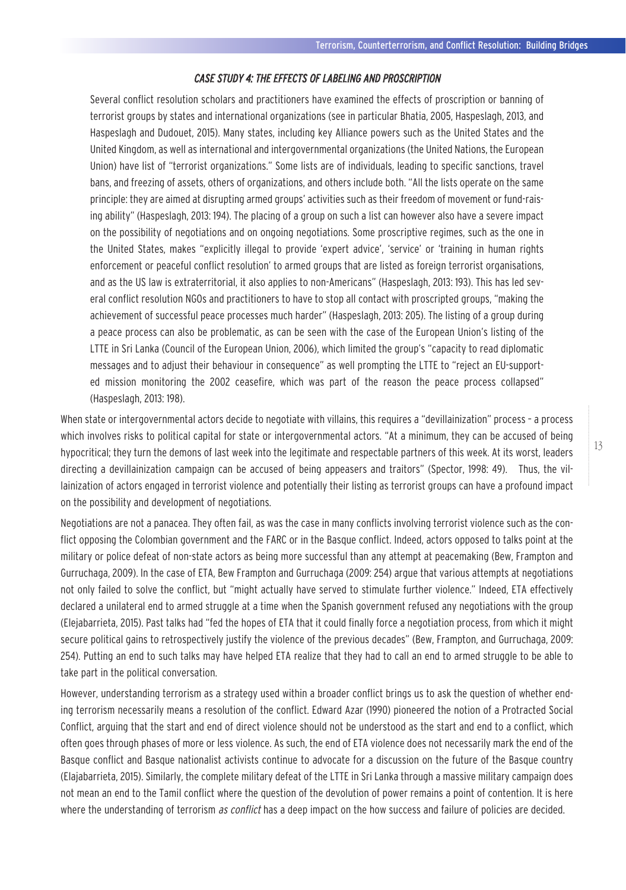#### CASE STUDY 4: THE EFFECTS OF LABELING AND PROSCRIPTION

Several conflict resolution scholars and practitioners have examined the effects of proscription or banning of terrorist groups by states and international organizations (see in particular Bhatia, 2005, Haspeslagh, 2013, and Haspeslagh and Dudouet, 2015). Many states, including key Alliance powers such as the United States and the United Kingdom, as well as international and intergovernmental organizations (the United Nations, the European Union) have list of "terrorist organizations." Some lists are of individuals, leading to specific sanctions, travel bans, and freezing of assets, others of organizations, and others include both. "All the lists operate on the same principle: they are aimed at disrupting armed groups' activities such as their freedom of movement or fund-raising ability" (Haspeslagh, 2013: 194). The placing of a group on such a list can however also have a severe impact on the possibility of negotiations and on ongoing negotiations. Some proscriptive regimes, such as the one in the United States, makes "explicitly illegal to provide 'expert advice', 'service' or 'training in human rights enforcement or peaceful conflict resolution' to armed groups that are listed as foreign terrorist organisations, and as the US law is extraterritorial, it also applies to non-Americans" (Haspeslagh, 2013: 193). This has led several conflict resolution NGOs and practitioners to have to stop all contact with proscripted groups, "making the achievement of successful peace processes much harder" (Haspeslagh, 2013: 205). The listing of a group during a peace process can also be problematic, as can be seen with the case of the European Union's listing of the LTTE in Sri Lanka (Council of the European Union, 2006), which limited the group's "capacity to read diplomatic messages and to adjust their behaviour in consequence" as well prompting the LTTE to "reject an EU-supported mission monitoring the 2002 ceasefire, which was part of the reason the peace process collapsed" (Haspeslagh, 2013: 198).

When state or intergovernmental actors decide to negotiate with villains, this requires a "devillainization" process - a process which involves risks to political capital for state or intergovernmental actors. "At a minimum, they can be accused of being hypocritical; they turn the demons of last week into the legitimate and respectable partners of this week. At its worst, leaders directing a devillainization campaign can be accused of being appeasers and traitors" (Spector, 1998: 49). Thus, the villainization of actors engaged in terrorist violence and potentially their listing as terrorist groups can have a profound impact on the possibility and development of negotiations.

Negotiations are not a panacea. They often fail, as was the case in many conflicts involving terrorist violence such as the conflict opposing the Colombian government and the FARC or in the Basque conflict. Indeed, actors opposed to talks point at the military or police defeat of non-state actors as being more successful than any attempt at peacemaking (Bew, Frampton and Gurruchaga, 2009). In the case of ETA, Bew Frampton and Gurruchaga (2009: 254) argue that various attempts at negotiations not only failed to solve the conflict, but "might actually have served to stimulate further violence." Indeed, ETA effectively declared a unilateral end to armed struggle at a time when the Spanish government refused any negotiations with the group (Elejabarrieta, 2015). Past talks had "fed the hopes of ETA that it could finally force a negotiation process, from which it might secure political gains to retrospectively justify the violence of the previous decades" (Bew, Frampton, and Gurruchaga, 2009: 254). Putting an end to such talks may have helped ETA realize that they had to call an end to armed struggle to be able to take part in the political conversation.

However, understanding terrorism as a strategy used within a broader conflict brings us to ask the question of whether ending terrorism necessarily means a resolution of the conflict. Edward Azar (1990) pioneered the notion of a Protracted Social Conflict, arguing that the start and end of direct violence should not be understood as the start and end to a conflict, which often goes through phases of more or less violence. As such, the end of ETA violence does not necessarily mark the end of the Basque conflict and Basque nationalist activists continue to advocate for a discussion on the future of the Basque country (Elajabarrieta, 2015). Similarly, the complete military defeat of the LTTE in Sri Lanka through a massive military campaign does not mean an end to the Tamil conflict where the question of the devolution of power remains a point of contention. It is here where the understanding of terrorism *as conflict* has a deep impact on the how success and failure of policies are decided.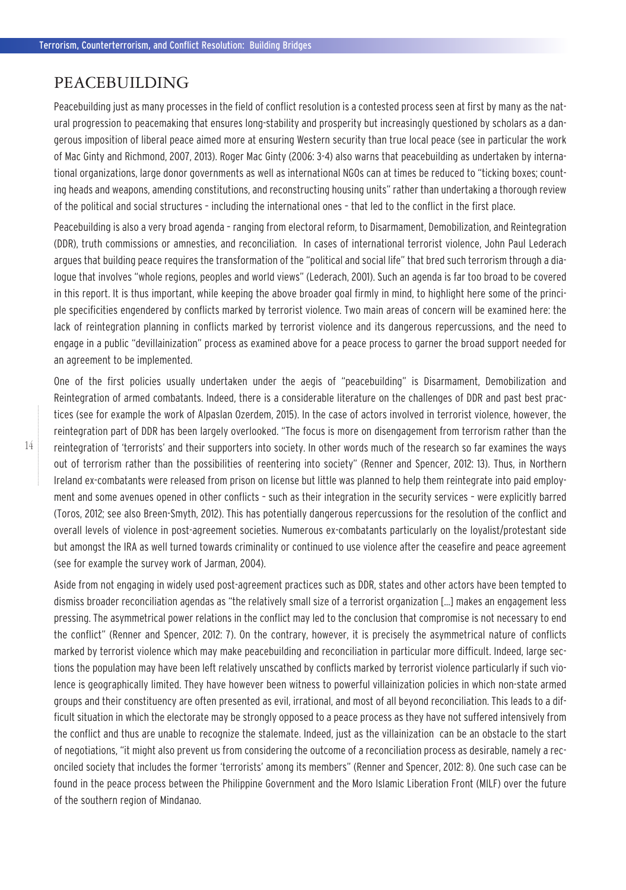### PEACEBUILDING

Peacebuilding just as many processes in the field of conflict resolution is a contested process seen at first by many as the natural progression to peacemaking that ensures long-stability and prosperity but increasingly questioned by scholars as a dangerous imposition of liberal peace aimed more at ensuring Western security than true local peace (see in particular the work of Mac Ginty and Richmond, 2007, 2013). Roger Mac Ginty (2006: 3-4) also warns that peacebuilding as undertaken by international organizations, large donor governments as well as international NGOs can at times be reduced to "ticking boxes; counting heads and weapons, amending constitutions, and reconstructing housing units" rather than undertaking a thorough review of the political and social structures – including the international ones – that led to the conflict in the first place.

Peacebuilding is also a very broad agenda – ranging from electoral reform, to Disarmament, Demobilization, and Reintegration (DDR), truth commissions or amnesties, and reconciliation. In cases of international terrorist violence, John Paul Lederach argues that building peace requires the transformation of the "political and social life" that bred such terrorism through a dialogue that involves "whole regions, peoples and world views" (Lederach, 2001). Such an agenda is far too broad to be covered in this report. It is thus important, while keeping the above broader goal firmly in mind, to highlight here some of the principle specificities engendered by conflicts marked by terrorist violence. Two main areas of concern will be examined here: the lack of reintegration planning in conflicts marked by terrorist violence and its dangerous repercussions, and the need to engage in a public "devillainization" process as examined above for a peace process to garner the broad support needed for an agreement to be implemented.

One of the first policies usually undertaken under the aegis of "peacebuilding" is Disarmament, Demobilization and Reintegration of armed combatants. Indeed, there is a considerable literature on the challenges of DDR and past best practices (see for example the work of Alpaslan Ozerdem, 2015). In the case of actors involved in terrorist violence, however, the reintegration part of DDR has been largely overlooked. "The focus is more on disengagement from terrorism rather than the reintegration of 'terrorists' and their supporters into society. In other words much of the research so far examines the ways out of terrorism rather than the possibilities of reentering into society" (Renner and Spencer, 2012: 13). Thus, in Northern Ireland ex-combatants were released from prison on license but little was planned to help them reintegrate into paid employment and some avenues opened in other conflicts – such as their integration in the security services – were explicitly barred (Toros, 2012; see also Breen-Smyth, 2012). This has potentially dangerous repercussions for the resolution of the conflict and overall levels of violence in post-agreement societies. Numerous ex-combatants particularly on the loyalist/protestant side but amongst the IRA as well turned towards criminality or continued to use violence after the ceasefire and peace agreement (see for example the survey work of Jarman, 2004).

Aside from not engaging in widely used post-agreement practices such as DDR, states and other actors have been tempted to dismiss broader reconciliation agendas as "the relatively small size of a terrorist organization […] makes an engagement less pressing. The asymmetrical power relations in the conflict may led to the conclusion that compromise is not necessary to end the conflict" (Renner and Spencer, 2012: 7). On the contrary, however, it is precisely the asymmetrical nature of conflicts marked by terrorist violence which may make peacebuilding and reconciliation in particular more difficult. Indeed, large sections the population may have been left relatively unscathed by conflicts marked by terrorist violence particularly if such violence is geographically limited. They have however been witness to powerful villainization policies in which non-state armed groups and their constituency are often presented as evil, irrational, and most of all beyond reconciliation. This leads to a difficult situation in which the electorate may be strongly opposed to a peace process as they have not suffered intensively from the conflict and thus are unable to recognize the stalemate. Indeed, just as the villainization can be an obstacle to the start of negotiations, "it might also prevent us from considering the outcome of a reconciliation process as desirable, namely a reconciled society that includes the former 'terrorists' among its members" (Renner and Spencer, 2012: 8). One such case can be found in the peace process between the Philippine Government and the Moro Islamic Liberation Front (MILF) over the future of the southern region of Mindanao.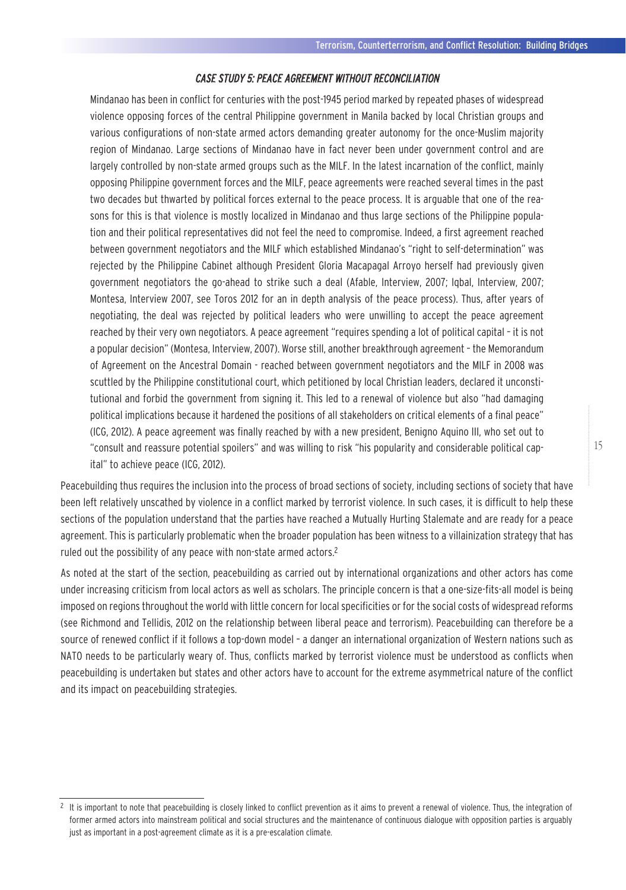#### CASE STUDY 5: PEACE AGREEMENT WITHOUT RECONCILIATION

Mindanao has been in conflict for centuries with the post-1945 period marked by repeated phases of widespread violence opposing forces of the central Philippine government in Manila backed by local Christian groups and various configurations of non-state armed actors demanding greater autonomy for the once-Muslim majority region of Mindanao. Large sections of Mindanao have in fact never been under government control and are largely controlled by non-state armed groups such as the MILF. In the latest incarnation of the conflict, mainly opposing Philippine government forces and the MILF, peace agreements were reached several times in the past two decades but thwarted by political forces external to the peace process. It is arguable that one of the reasons for this is that violence is mostly localized in Mindanao and thus large sections of the Philippine population and their political representatives did not feel the need to compromise. Indeed, a first agreement reached between government negotiators and the MILF which established Mindanao's "right to self-determination" was rejected by the Philippine Cabinet although President Gloria Macapagal Arroyo herself had previously given government negotiators the go-ahead to strike such a deal (Afable, Interview, 2007; Iqbal, Interview, 2007; Montesa, Interview 2007, see Toros 2012 for an in depth analysis of the peace process). Thus, after years of negotiating, the deal was rejected by political leaders who were unwilling to accept the peace agreement reached by their very own negotiators. A peace agreement "requires spending a lot of political capital – it is not a popular decision" (Montesa, Interview, 2007). Worse still, another breakthrough agreement – the Memorandum of Agreement on the Ancestral Domain - reached between government negotiators and the MILF in 2008 was scuttled by the Philippine constitutional court, which petitioned by local Christian leaders, declared it unconstitutional and forbid the government from signing it. This led to a renewal of violence but also "had damaging political implications because it hardened the positions of all stakeholders on critical elements of a final peace" (ICG, 2012). A peace agreement was finally reached by with a new president, Benigno Aquino III, who set out to "consult and reassure potential spoilers" and was willing to risk "his popularity and considerable political capital" to achieve peace (ICG, 2012).

Peacebuilding thus requires the inclusion into the process of broad sections of society, including sections of society that have been left relatively unscathed by violence in a conflict marked by terrorist violence. In such cases, it is difficult to help these sections of the population understand that the parties have reached a Mutually Hurting Stalemate and are ready for a peace agreement. This is particularly problematic when the broader population has been witness to a villainization strategy that has ruled out the possibility of any peace with non-state armed actors.2

As noted at the start of the section, peacebuilding as carried out by international organizations and other actors has come under increasing criticism from local actors as well as scholars. The principle concern is that a one-size-fits-all model is being imposed on regions throughout the world with little concern for local specificities or for the social costs of widespread reforms (see Richmond and Tellidis, 2012 on the relationship between liberal peace and terrorism). Peacebuilding can therefore be a source of renewed conflict if it follows a top-down model – a danger an international organization of Western nations such as NATO needs to be particularly weary of. Thus, conflicts marked by terrorist violence must be understood as conflicts when peacebuilding is undertaken but states and other actors have to account for the extreme asymmetrical nature of the conflict and its impact on peacebuilding strategies.

 $^2\,$  It is important to note that peacebuilding is closely linked to conflict prevention as it aims to prevent a renewal of violence. Thus, the integration of former armed actors into mainstream political and social structures and the maintenance of continuous dialogue with opposition parties is arguably just as important in a post-agreement climate as it is a pre-escalation climate.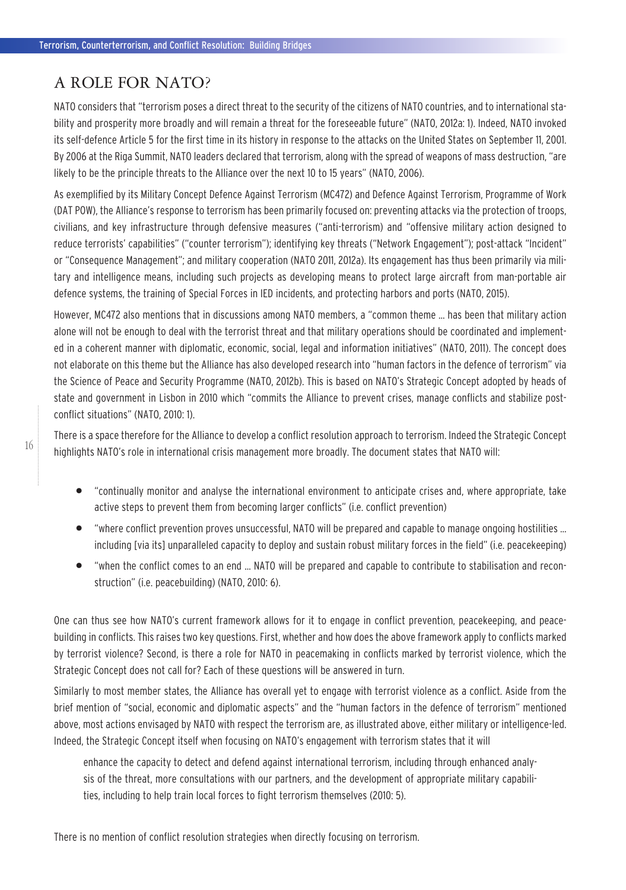## A ROLE FOR NATO?

NATO considers that "terrorism poses a direct threat to the security of the citizens of NATO countries, and to international stability and prosperity more broadly and will remain a threat for the foreseeable future" (NATO, 2012a: 1). Indeed, NATO invoked its self-defence Article 5 for the first time in its history in response to the attacks on the United States on September 11, 2001. By 2006 at the Riga Summit, NATO leaders declared that terrorism, along with the spread of weapons of mass destruction, "are likely to be the principle threats to the Alliance over the next 10 to 15 years" (NATO, 2006).

As exemplified by its Military Concept Defence Against Terrorism (MC472) and Defence Against Terrorism, Programme of Work (DAT POW), the Alliance's response to terrorism has been primarily focused on: preventing attacks via the protection of troops, civilians, and key infrastructure through defensive measures ("anti-terrorism) and "offensive military action designed to reduce terrorists' capabilities" ("counter terrorism"); identifying key threats ("Network Engagement"); post-attack "Incident" or "Consequence Management"; and military cooperation (NATO 2011, 2012a). Its engagement has thus been primarily via military and intelligence means, including such projects as developing means to protect large aircraft from man-portable air defence systems, the training of Special Forces in IED incidents, and protecting harbors and ports (NATO, 2015).

However, MC472 also mentions that in discussions among NATO members, a "common theme … has been that military action alone will not be enough to deal with the terrorist threat and that military operations should be coordinated and implemented in a coherent manner with diplomatic, economic, social, legal and information initiatives" (NATO, 2011). The concept does not elaborate on this theme but the Alliance has also developed research into "human factors in the defence of terrorism" via the Science of Peace and Security Programme (NATO, 2012b). This is based on NATO's Strategic Concept adopted by heads of state and government in Lisbon in 2010 which "commits the Alliance to prevent crises, manage conflicts and stabilize postconflict situations" (NATO, 2010: 1).

There is a space therefore for the Alliance to develop a conflict resolution approach to terrorism. Indeed the Strategic Concept highlights NATO's role in international crisis management more broadly. The document states that NATO will:

- "continually monitor and analyse the international environment to anticipate crises and, where appropriate, take active steps to prevent them from becoming larger conflicts" (i.e. conflict prevention)
- "where conflict prevention proves unsuccessful, NATO will be prepared and capable to manage ongoing hostilities … including [via its] unparalleled capacity to deploy and sustain robust military forces in the field" (i.e. peacekeeping)
- "when the conflict comes to an end … NATO will be prepared and capable to contribute to stabilisation and reconstruction" (i.e. peacebuilding) (NATO, 2010: 6).

One can thus see how NATO's current framework allows for it to engage in conflict prevention, peacekeeping, and peacebuilding in conflicts. This raises two key questions. First, whether and how does the above framework apply to conflicts marked by terrorist violence? Second, is there a role for NATO in peacemaking in conflicts marked by terrorist violence, which the Strategic Concept does not call for? Each of these questions will be answered in turn.

Similarly to most member states, the Alliance has overall yet to engage with terrorist violence as a conflict. Aside from the brief mention of "social, economic and diplomatic aspects" and the "human factors in the defence of terrorism" mentioned above, most actions envisaged by NATO with respect the terrorism are, as illustrated above, either military or intelligence-led. Indeed, the Strategic Concept itself when focusing on NATO's engagement with terrorism states that it will

enhance the capacity to detect and defend against international terrorism, including through enhanced analysis of the threat, more consultations with our partners, and the development of appropriate military capabilities, including to help train local forces to fight terrorism themselves (2010: 5).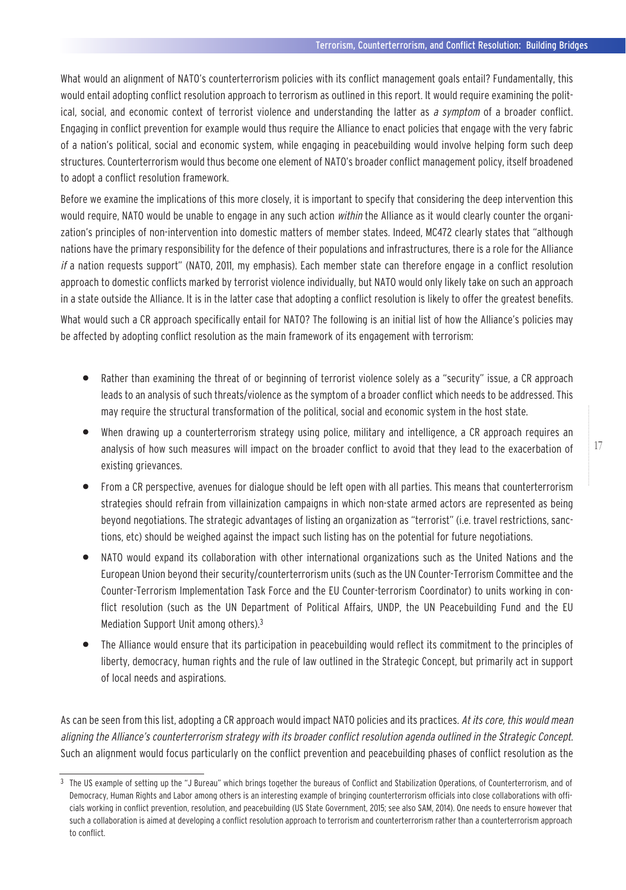What would an alignment of NATO's counterterrorism policies with its conflict management goals entail? Fundamentally, this would entail adopting conflict resolution approach to terrorism as outlined in this report. It would require examining the political, social, and economic context of terrorist violence and understanding the latter as a symptom of a broader conflict. Engaging in conflict prevention for example would thus require the Alliance to enact policies that engage with the very fabric of a nation's political, social and economic system, while engaging in peacebuilding would involve helping form such deep structures. Counterterrorism would thus become one element of NATO's broader conflict management policy, itself broadened to adopt a conflict resolution framework.

Before we examine the implications of this more closely, it is important to specify that considering the deep intervention this would require, NATO would be unable to engage in any such action within the Alliance as it would clearly counter the organization's principles of non-intervention into domestic matters of member states. Indeed, MC472 clearly states that "although nations have the primary responsibility for the defence of their populations and infrastructures, there is a role for the Alliance if a nation requests support" (NATO, 2011, my emphasis). Each member state can therefore engage in a conflict resolution approach to domestic conflicts marked by terrorist violence individually, but NATO would only likely take on such an approach in a state outside the Alliance. It is in the latter case that adopting a conflict resolution is likely to offer the greatest benefits.

What would such a CR approach specifically entail for NATO? The following is an initial list of how the Alliance's policies may be affected by adopting conflict resolution as the main framework of its engagement with terrorism:

- Rather than examining the threat of or beginning of terrorist violence solely as a "security" issue, a CR approach leads to an analysis of such threats/violence as the symptom of a broader conflict which needs to be addressed. This may require the structural transformation of the political, social and economic system in the host state.
- When drawing up a counterterrorism strategy using police, military and intelligence, a CR approach requires an analysis of how such measures will impact on the broader conflict to avoid that they lead to the exacerbation of existing grievances.
- From a CR perspective, avenues for dialogue should be left open with all parties. This means that counterterrorism strategies should refrain from villainization campaigns in which non-state armed actors are represented as being beyond negotiations. The strategic advantages of listing an organization as "terrorist" (i.e. travel restrictions, sanctions, etc) should be weighed against the impact such listing has on the potential for future negotiations.
- NATO would expand its collaboration with other international organizations such as the United Nations and the European Union beyond their security/counterterrorism units (such as the UN Counter-Terrorism Committee and the Counter-Terrorism Implementation Task Force and the EU Counter-terrorism Coordinator) to units working in conflict resolution (such as the UN Department of Political Affairs, UNDP, the UN Peacebuilding Fund and the EU Mediation Support Unit among others).3
- The Alliance would ensure that its participation in peacebuilding would reflect its commitment to the principles of liberty, democracy, human rights and the rule of law outlined in the Strategic Concept, but primarily act in support of local needs and aspirations.

As can be seen from this list, adopting a CR approach would impact NATO policies and its practices. At its core, this would mean aligning the Alliance's counterterrorism strategy with its broader conflict resolution agenda outlined in the Strategic Concept. Such an alignment would focus particularly on the conflict prevention and peacebuilding phases of conflict resolution as the

<sup>&</sup>lt;sup>3</sup> The US example of setting up the "J Bureau" which brings together the bureaus of Conflict and Stabilization Operations, of Counterterrorism, and of Democracy, Human Rights and Labor among others is an interesting example of bringing counterterrorism officials into close collaborations with officials working in conflict prevention, resolution, and peacebuilding (US State Government, 2015; see also SAM, 2014). One needs to ensure however that such a collaboration is aimed at developing a conflict resolution approach to terrorism and counterterrorism rather than a counterterrorism approach to conflict.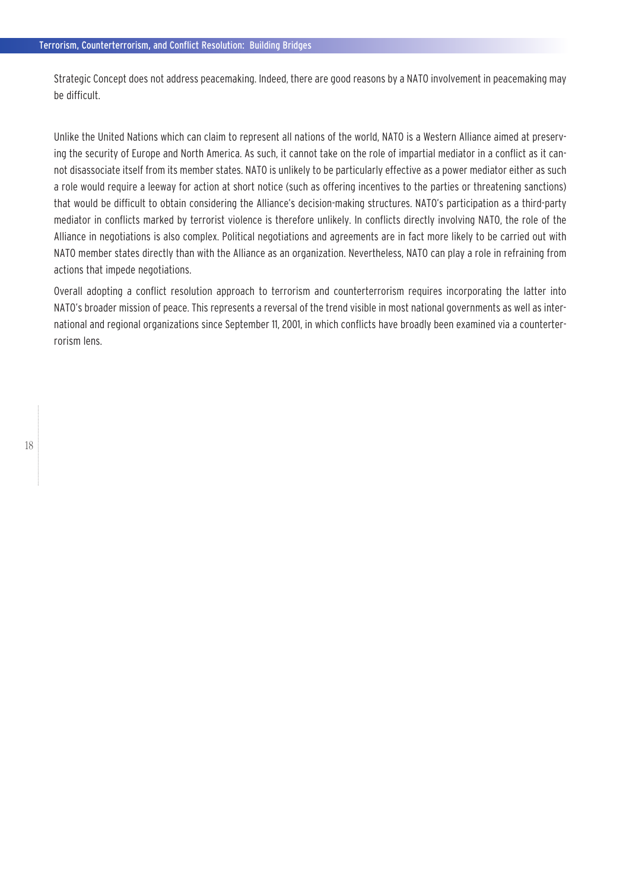Strategic Concept does not address peacemaking. Indeed, there are good reasons by a NATO involvement in peacemaking may be difficult.

Unlike the United Nations which can claim to represent all nations of the world, NATO is a Western Alliance aimed at preserving the security of Europe and North America. As such, it cannot take on the role of impartial mediator in a conflict as it cannot disassociate itself from its member states. NATO is unlikely to be particularly effective as a power mediator either as such a role would require a leeway for action at short notice (such as offering incentives to the parties or threatening sanctions) that would be difficult to obtain considering the Alliance's decision-making structures. NATO's participation as a third-party mediator in conflicts marked by terrorist violence is therefore unlikely. In conflicts directly involving NATO, the role of the Alliance in negotiations is also complex. Political negotiations and agreements are in fact more likely to be carried out with NATO member states directly than with the Alliance as an organization. Nevertheless, NATO can play a role in refraining from actions that impede negotiations.

Overall adopting a conflict resolution approach to terrorism and counterterrorism requires incorporating the latter into NATO's broader mission of peace. This represents a reversal of the trend visible in most national governments as well as international and regional organizations since September 11, 2001, in which conflicts have broadly been examined via a counterterrorism lens.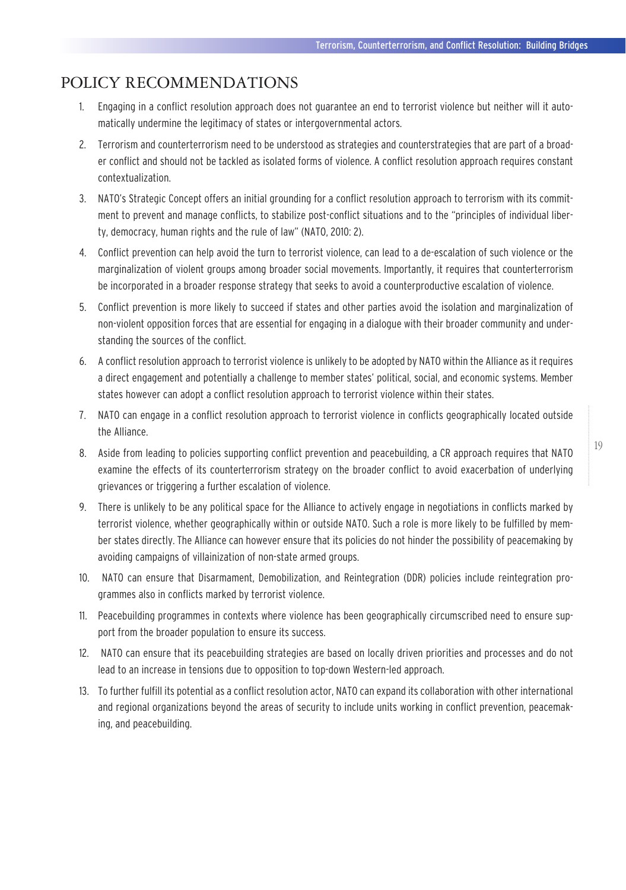## POLICY RECOMMENDATIONS

- 1. Engaging in a conflict resolution approach does not guarantee an end to terrorist violence but neither will it automatically undermine the legitimacy of states or intergovernmental actors.
- 2. Terrorism and counterterrorism need to be understood as strategies and counterstrategies that are part of a broader conflict and should not be tackled as isolated forms of violence. A conflict resolution approach requires constant contextualization.
- 3. NATO's Strategic Concept offers an initial grounding for a conflict resolution approach to terrorism with its commitment to prevent and manage conflicts, to stabilize post-conflict situations and to the "principles of individual liberty, democracy, human rights and the rule of law" (NATO, 2010: 2).
- 4. Conflict prevention can help avoid the turn to terrorist violence, can lead to a de-escalation of such violence or the marginalization of violent groups among broader social movements. Importantly, it requires that counterterrorism be incorporated in a broader response strategy that seeks to avoid a counterproductive escalation of violence.
- 5. Conflict prevention is more likely to succeed if states and other parties avoid the isolation and marginalization of non-violent opposition forces that are essential for engaging in a dialogue with their broader community and understanding the sources of the conflict.
- 6. A conflict resolution approach to terrorist violence is unlikely to be adopted by NATO within the Alliance as it requires a direct engagement and potentially a challenge to member states' political, social, and economic systems. Member states however can adopt a conflict resolution approach to terrorist violence within their states.
- 7. NATO can engage in a conflict resolution approach to terrorist violence in conflicts geographically located outside the Alliance.
- 8. Aside from leading to policies supporting conflict prevention and peacebuilding, a CR approach requires that NATO examine the effects of its counterterrorism strategy on the broader conflict to avoid exacerbation of underlying grievances or triggering a further escalation of violence.
- 9. There is unlikely to be any political space for the Alliance to actively engage in negotiations in conflicts marked by terrorist violence, whether geographically within or outside NATO. Such a role is more likely to be fulfilled by member states directly. The Alliance can however ensure that its policies do not hinder the possibility of peacemaking by avoiding campaigns of villainization of non-state armed groups.
- 10. NATO can ensure that Disarmament, Demobilization, and Reintegration (DDR) policies include reintegration programmes also in conflicts marked by terrorist violence.
- 11. Peacebuilding programmes in contexts where violence has been geographically circumscribed need to ensure support from the broader population to ensure its success.
- 12. NATO can ensure that its peacebuilding strategies are based on locally driven priorities and processes and do not lead to an increase in tensions due to opposition to top-down Western-led approach.
- 13. To further fulfill its potential as a conflict resolution actor, NATO can expand its collaboration with other international and regional organizations beyond the areas of security to include units working in conflict prevention, peacemaking, and peacebuilding.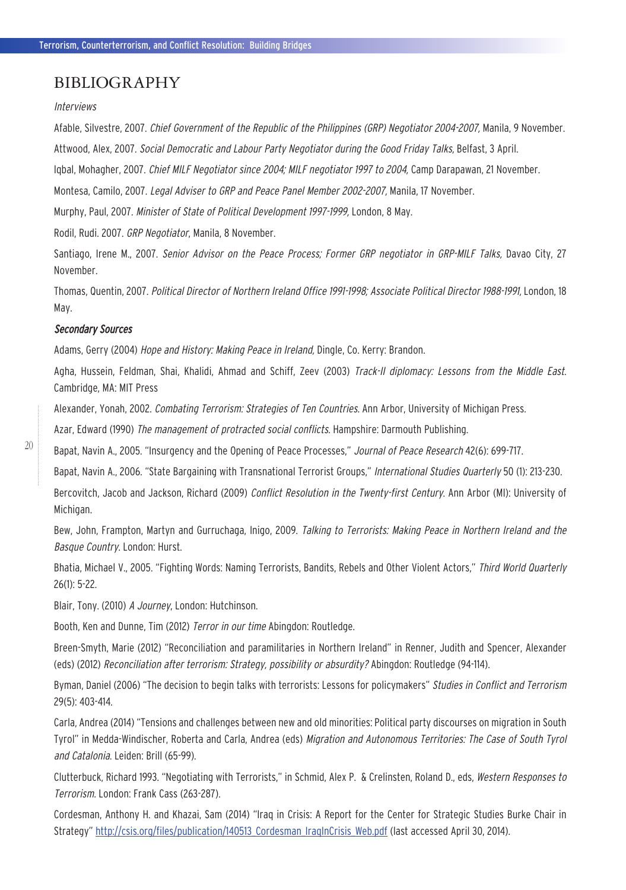### BIBLIOGRAPHY

#### Interviews

Afable, Silvestre, 2007. Chief Government of the Republic of the Philippines (GRP) Negotiator 2004-2007, Manila, 9 November. Attwood, Alex, 2007. Social Democratic and Labour Party Negotiator during the Good Friday Talks, Belfast, 3 April.

Igbal, Mohagher, 2007. Chief MILF Negotiator since 2004; MILF negotiator 1997 to 2004, Camp Darapawan, 21 November.

Montesa, Camilo, 2007. Legal Adviser to GRP and Peace Panel Member 2002-2007, Manila, 17 November.

Murphy, Paul, 2007. Minister of State of Political Development 1997-1999, London, 8 May.

Rodil, Rudi. 2007. GRP Negotiator, Manila, 8 November.

Santiago, Irene M., 2007. Senior Advisor on the Peace Process; Former GRP negotiator in GRP-MILF Talks, Davao City, 27 November.

Thomas, Quentin, 2007. Political Director of Northern Ireland Office 1991-1998; Associate Political Director 1988-1991, London, 18 May.

#### Secondary Sources

Adams, Gerry (2004) Hope and History: Making Peace in Ireland, Dingle, Co. Kerry: Brandon.

Agha, Hussein, Feldman, Shai, Khalidi, Ahmad and Schiff, Zeev (2003) Track-II diplomacy: Lessons from the Middle East. Cambridge, MA: MIT Press

Alexander, Yonah, 2002. Combating Terrorism: Strategies of Ten Countries. Ann Arbor, University of Michigan Press.

Azar, Edward (1990) The management of protracted social conflicts. Hampshire: Darmouth Publishing.

Bapat, Navin A., 2005. "Insurgency and the Opening of Peace Processes," Journal of Peace Research 42(6): 699-717.

Bapat, Navin A., 2006. "State Bargaining with Transnational Terrorist Groups," International Studies Quarterly 50 (1): 213-230.

Bercovitch, Jacob and Jackson, Richard (2009) *Conflict Resolution in the Twenty-first Century*. Ann Arbor (MI): University of Michigan.

Bew, John, Frampton, Martyn and Gurruchaga, Inigo, 2009. *Talking to Terrorists: Making Peace in Northern Ireland and the* Basque Country. London: Hurst.

Bhatia, Michael V., 2005. "Fighting Words: Naming Terrorists, Bandits, Rebels and Other Violent Actors," Third World Quarterly 26(1): 5-22.

Blair, Tony. (2010) A Journey, London: Hutchinson.

Booth, Ken and Dunne, Tim (2012) Terror in our time Abingdon: Routledge.

Breen-Smyth, Marie (2012) "Reconciliation and paramilitaries in Northern Ireland" in Renner, Judith and Spencer, Alexander (eds) (2012) Reconciliation after terrorism: Strategy, possibility or absurdity? Abingdon: Routledge (94-114).

Byman, Daniel (2006) "The decision to begin talks with terrorists: Lessons for policymakers" Studies in Conflict and Terrorism 29(5): 403-414.

Carla, Andrea (2014) "Tensions and challenges between new and old minorities: Political party discourses on migration in South Tyrol" in Medda-Windischer, Roberta and Carla, Andrea (eds) Migration and Autonomous Territories: The Case of South Tyrol and Catalonia. Leiden: Brill (65-99).

Clutterbuck, Richard 1993. "Negotiating with Terrorists," in Schmid, Alex P. & Crelinsten, Roland D., eds, Western Responses to Terrorism. London: Frank Cass (263-287).

Cordesman, Anthony H. and Khazai, Sam (2014) "Iraq in Crisis: A Report for the Center for Strategic Studies Burke Chair in Strategy" http://csis.org/files/publication/140513 Cordesman\_IragInCrisis\_Web.pdf (last accessed April 30, 2014).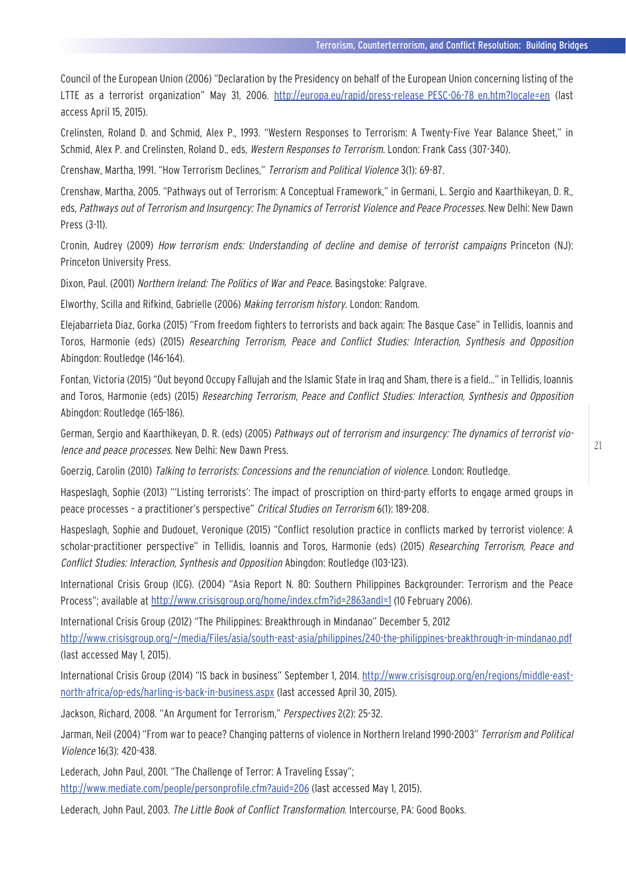Council of the European Union (2006) "Declaration by the Presidency on behalf of the European Union concerning listing of the LTTE as a terrorist organization" May 31, 2006. http://europa.eu/rapid/press-release PESC-06-78 en.htm?locale=en (last access April 15, 2015).

Crelinsten, Roland D. and Schmid, Alex P., 1993. "Western Responses to Terrorism: A Twenty-Five Year Balance Sheet," in Schmid, Alex P. and Crelinsten, Roland D., eds, Western Responses to Terrorism. London: Frank Cass (307-340).

Crenshaw, Martha, 1991. "How Terrorism Declines," Terrorism and Political Violence 3(1): 69-87.

Crenshaw, Martha, 2005. "Pathways out of Terrorism: A Conceptual Framework," in Germani, L. Sergio and Kaarthikeyan, D. R., eds, Pathways out of Terrorism and Insurgency: The Dynamics of Terrorist Violence and Peace Processes. New Delhi: New Dawn Press (3-11).

Cronin, Audrey (2009) How terrorism ends: Understanding of decline and demise of terrorist campaigns Princeton (NJ): Princeton University Press.

Dixon, Paul. (2001) Northern Ireland: The Politics of War and Peace. Basingstoke: Palgrave.

Elworthy, Scilla and Rifkind, Gabrielle (2006) Making terrorism history. London: Random.

Elejabarrieta Diaz, Gorka (2015) "From freedom fighters to terrorists and back again: The Basque Case" in Tellidis, Ioannis and Toros, Harmonie (eds) (2015) Researching Terrorism, Peace and Conflict Studies: Interaction, Synthesis and Opposition Abingdon: Routledge (146-164).

Fontan, Victoria (2015) "Out beyond Occupy Fallujah and the Islamic State in Iraq and Sham, there is a field…" in Tellidis, Ioannis and Toros, Harmonie (eds) (2015) Researching Terrorism, Peace and Conflict Studies: Interaction, Synthesis and Opposition Abingdon: Routledge (165-186).

German, Sergio and Kaarthikeyan, D. R. (eds) (2005) Pathways out of terrorism and insurgency: The dynamics of terrorist violence and peace processes. New Delhi: New Dawn Press.

Goerzig, Carolin (2010) Talking to terrorists: Concessions and the renunciation of violence. London: Routledge.

Haspeslagh, Sophie (2013) "'Listing terrorists': The impact of proscription on third-party efforts to engage armed groups in peace processes - a practitioner's perspective" Critical Studies on Terrorism 6(1): 189-208.

Haspeslagh, Sophie and Dudouet, Veronique (2015) "Conflict resolution practice in conflicts marked by terrorist violence: A scholar-practitioner perspective" in Tellidis, Ioannis and Toros, Harmonie (eds) (2015) Researching Terrorism, Peace and Conflict Studies: Interaction, Synthesis and Opposition Abingdon: Routledge (103-123).

International Crisis Group (ICG). (2004) "Asia Report N. 80: Southern Philippines Backgrounder: Terrorism and the Peace Process"; available at http://www.crisisgroup.org/home/index.cfm?id=2863andl=1 (10 February 2006).

International Crisis Group (2012) "The Philippines: Breakthrough in Mindanao" December 5, 2012

http://www.crisisgroup.org/~/media/Files/asia/south-east-asia/philippines/240-the-philippines-breakthrough-in-mindanao.pdf (last accessed May 1, 2015).

International Crisis Group (2014) "IS back in business" September 1, 2014. http://www.crisisgroup.org/en/regions/middle-eastnorth-africa/op-eds/harling-is-back-in-business.aspx (last accessed April 30, 2015).

Jackson, Richard, 2008. "An Argument for Terrorism," Perspectives 2(2): 25-32.

Jarman, Neil (2004) "From war to peace? Changing patterns of violence in Northern Ireland 1990-2003" Terrorism and Political Violence 16(3): 420-438.

Lederach, John Paul, 2001. "The Challenge of Terror: A Traveling Essay"; http://www.mediate.com/people/personprofile.cfm?auid=206 (last accessed May 1, 2015).

Lederach, John Paul, 2003. The Little Book of Conflict Transformation. Intercourse, PA: Good Books.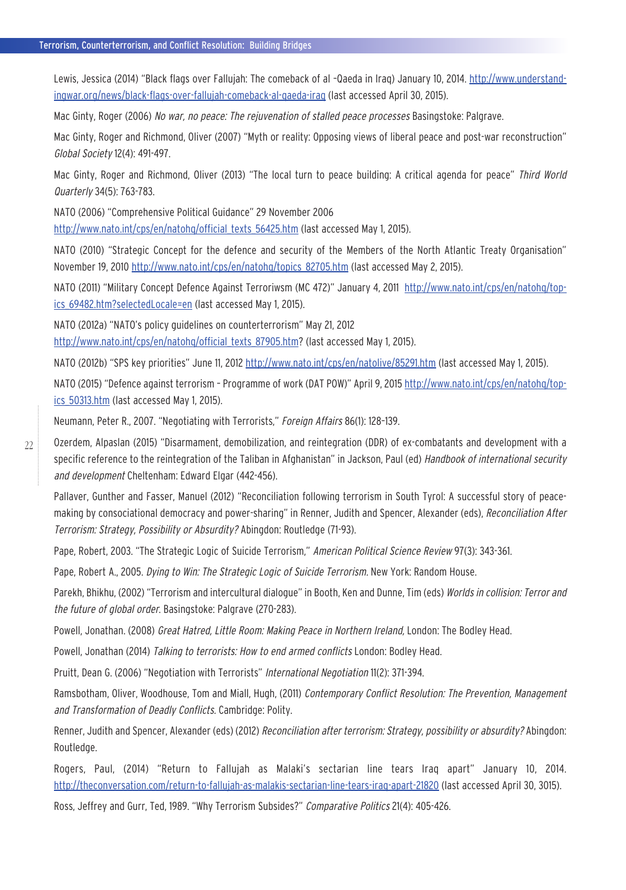Lewis, Jessica (2014) "Black flags over Fallujah: The comeback of al –Qaeda in Iraq) January 10, 2014. http://www.understandingwar.org/news/black-flags-over-fallujah-comeback-al-qaeda-iraq (last accessed April 30, 2015).

Mac Ginty, Roger (2006) No war, no peace: The rejuvenation of stalled peace processes Basingstoke: Palgrave.

Mac Ginty, Roger and Richmond, Oliver (2007) "Myth or reality: Opposing views of liberal peace and post-war reconstruction" Global Society 12(4): 491-497.

Mac Ginty, Roger and Richmond, Oliver (2013) "The local turn to peace building: A critical agenda for peace" Third World Quarterly 34(5): 763-783.

NATO (2006) "Comprehensive Political Guidance" 29 November 2006 http://www.nato.int/cps/en/natohq/official texts 56425.htm (last accessed May 1, 2015).

NATO (2010) "Strategic Concept for the defence and security of the Members of the North Atlantic Treaty Organisation" November 19, 2010 http://www.nato.int/cps/en/natohq/topics\_82705.htm (last accessed May 2, 2015).

NATO (2011) "Military Concept Defence Against Terroriwsm (MC 472)" January 4, 2011 http://www.nato.int/cps/en/natohq/topics\_69482.htm?selectedLocale=en (last accessed May 1, 2015).

NATO (2012a) "NATO's policy guidelines on counterterrorism" May 21, 2012 http://www.nato.int/cps/en/natohq/official\_texts\_87905.htm? (last accessed May 1, 2015).

NATO (2012b) "SPS key priorities" June 11, 2012 http://www.nato.int/cps/en/natolive/85291.htm (last accessed May 1, 2015).

NATO (2015) "Defence against terrorism - Programme of work (DAT POW)" April 9, 2015 http://www.nato.int/cps/en/natohg/topics\_50313.htm (last accessed May 1, 2015).

Neumann, Peter R., 2007. "Negotiating with Terrorists," Foreign Affairs 86(1): 128-139.

Ozerdem, Alpaslan (2015) "Disarmament, demobilization, and reintegration (DDR) of ex-combatants and development with a specific reference to the reintegration of the Taliban in Afghanistan" in Jackson, Paul (ed) *Handbook of international security* and development Cheltenham: Edward Elgar (442-456).

Pallaver, Gunther and Fasser, Manuel (2012) "Reconciliation following terrorism in South Tyrol: A successful story of peacemaking by consociational democracy and power-sharing" in Renner, Judith and Spencer, Alexander (eds), Reconciliation After Terrorism: Strategy, Possibility or Absurdity? Abingdon: Routledge (71-93).

Pape, Robert, 2003. "The Strategic Logic of Suicide Terrorism," American Political Science Review 97(3): 343-361.

Pape, Robert A., 2005. Dying to Win: The Strategic Logic of Suicide Terrorism. New York: Random House.

Parekh, Bhikhu, (2002) "Terrorism and intercultural dialogue" in Booth, Ken and Dunne, Tim (eds) Worlds in collision: Terror and the future of global order. Basingstoke: Palgrave (270-283).

Powell, Jonathan. (2008) Great Hatred, Little Room: Making Peace in Northern Ireland, London: The Bodley Head.

Powell, Jonathan (2014) Talking to terrorists: How to end armed conflicts London: Bodley Head.

Pruitt, Dean G. (2006) "Negotiation with Terrorists" International Negotiation 11(2): 371-394.

Ramsbotham, Oliver, Woodhouse, Tom and Miall, Hugh, (2011) Contemporary Conflict Resolution: The Prevention, Management and Transformation of Deadly Conflicts. Cambridge: Polity.

Renner, Judith and Spencer, Alexander (eds) (2012) Reconciliation after terrorism: Strategy, possibility or absurdity? Abingdon: Routledge.

Rogers, Paul, (2014) "Return to Fallujah as Malaki's sectarian line tears Iraq apart" January 10, 2014. http://theconversation.com/return-to-fallujah-as-malakis-sectarian-line-tears-iraq-apart-21820 (last accessed April 30, 3015).

Ross, Jeffrey and Gurr, Ted, 1989. "Why Terrorism Subsides?" Comparative Politics 21(4): 405-426.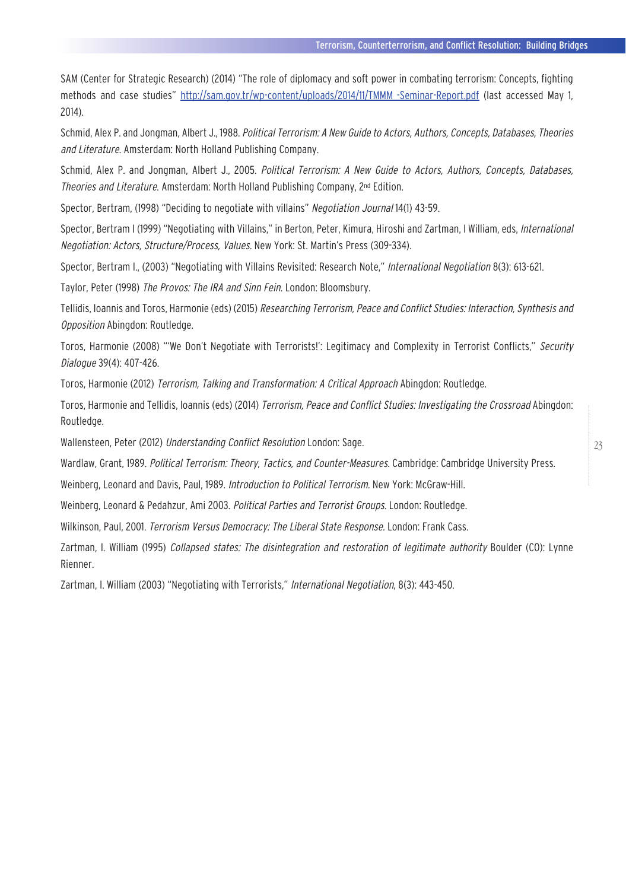SAM (Center for Strategic Research) (2014) "The role of diplomacy and soft power in combating terrorism: Concepts, fighting methods and case studies" http://sam.gov.tr/wp-content/uploads/2014/11/TMMM\_-Seminar-Report.pdf (last accessed May 1, 2014).

Schmid, Alex P. and Jongman, Albert J., 1988. Political Terrorism: A New Guide to Actors, Authors, Concepts, Databases, Theories and Literature. Amsterdam: North Holland Publishing Company.

Schmid, Alex P. and Jongman, Albert J., 2005. Political Terrorism: A New Guide to Actors, Authors, Concepts, Databases, Theories and Literature. Amsterdam: North Holland Publishing Company, 2nd Edition.

Spector, Bertram, (1998) "Deciding to negotiate with villains" Negotiation Journal 14(1) 43-59.

Spector, Bertram I (1999) "Negotiating with Villains," in Berton, Peter, Kimura, Hiroshi and Zartman, I William, eds, *International* Negotiation: Actors, Structure/Process, Values. New York: St. Martin's Press (309-334).

Spector, Bertram I., (2003) "Negotiating with Villains Revisited: Research Note," International Negotiation 8(3): 613-621.

Taylor, Peter (1998) The Provos: The IRA and Sinn Fein. London: Bloomsbury.

Tellidis, Ioannis and Toros, Harmonie (eds) (2015) Researching Terrorism, Peace and Conflict Studies: Interaction, Synthesis and Opposition Abingdon: Routledge.

Toros, Harmonie (2008) "'We Don't Negotiate with Terrorists!': Legitimacy and Complexity in Terrorist Conflicts," Security Dialogue 39(4): 407-426.

Toros, Harmonie (2012) Terrorism, Talking and Transformation: A Critical Approach Abingdon: Routledge.

Toros, Harmonie and Tellidis, Ioannis (eds) (2014) Terrorism, Peace and Conflict Studies: Investigating the Crossroad Abingdon: Routledge.

Wallensteen, Peter (2012) Understanding Conflict Resolution London: Sage.

Wardlaw, Grant, 1989. Political Terrorism: Theory, Tactics, and Counter-Measures. Cambridge: Cambridge University Press.

Weinberg, Leonard and Davis, Paul, 1989. Introduction to Political Terrorism. New York: McGraw-Hill.

Weinberg, Leonard & Pedahzur, Ami 2003. Political Parties and Terrorist Groups. London: Routledge.

Wilkinson, Paul, 2001. Terrorism Versus Democracy: The Liberal State Response. London: Frank Cass.

Zartman, I. William (1995) Collapsed states: The disintegration and restoration of legitimate authority Boulder (CO): Lynne Rienner.

Zartman, I. William (2003) "Negotiating with Terrorists," International Negotiation, 8(3): 443-450.